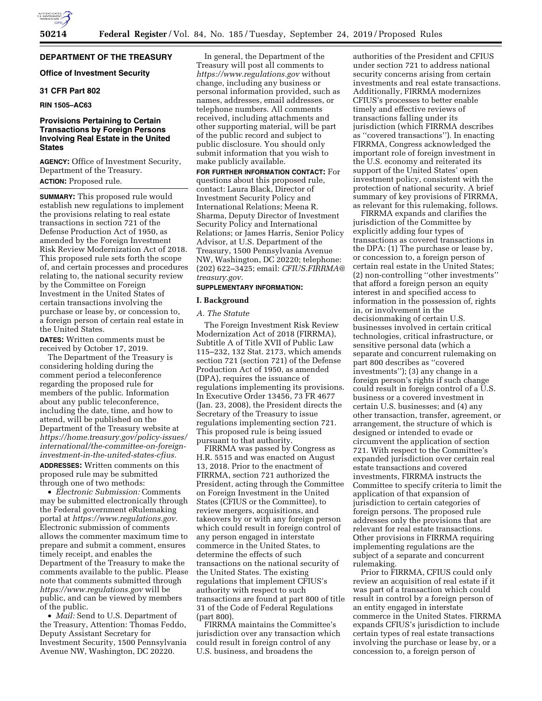# **DEPARTMENT OF THE TREASURY**

## **Office of Investment Security**

# **31 CFR Part 802**

# **RIN 1505–AC63**

# **Provisions Pertaining to Certain Transactions by Foreign Persons Involving Real Estate in the United States**

**AGENCY:** Office of Investment Security, Department of the Treasury. **ACTION:** Proposed rule.

**SUMMARY:** This proposed rule would establish new regulations to implement the provisions relating to real estate transactions in section 721 of the Defense Production Act of 1950, as amended by the Foreign Investment Risk Review Modernization Act of 2018. This proposed rule sets forth the scope of, and certain processes and procedures relating to, the national security review by the Committee on Foreign Investment in the United States of certain transactions involving the purchase or lease by, or concession to, a foreign person of certain real estate in the United States.

**DATES:** Written comments must be received by October 17, 2019.

The Department of the Treasury is considering holding during the comment period a teleconference regarding the proposed rule for members of the public. Information about any public teleconference, including the date, time, and how to attend, will be published on the Department of the Treasury website at *[https://home.treasury.gov/policy-issues/](https://home.treasury.gov/policy-issues/international/the-committee-on-foreign-investment-in-the-united-states-cfius)  [international/the-committee-on-foreign](https://home.treasury.gov/policy-issues/international/the-committee-on-foreign-investment-in-the-united-states-cfius)[investment-in-the-united-states-cfius.](https://home.treasury.gov/policy-issues/international/the-committee-on-foreign-investment-in-the-united-states-cfius)* 

**ADDRESSES:** Written comments on this proposed rule may be submitted through one of two methods:

• *Electronic Submission:* Comments may be submitted electronically through the Federal government eRulemaking portal at *[https://www.regulations.gov.](https://www.regulations.gov)*  Electronic submission of comments allows the commenter maximum time to prepare and submit a comment, ensures timely receipt, and enables the Department of the Treasury to make the comments available to the public. Please note that comments submitted through *<https://www.regulations.gov>* will be public, and can be viewed by members of the public.

• *Mail:* Send to U.S. Department of the Treasury, Attention: Thomas Feddo, Deputy Assistant Secretary for Investment Security, 1500 Pennsylvania Avenue NW, Washington, DC 20220.

In general, the Department of the Treasury will post all comments to *<https://www.regulations.gov>* without change, including any business or personal information provided, such as names, addresses, email addresses, or telephone numbers. All comments received, including attachments and other supporting material, will be part of the public record and subject to public disclosure. You should only submit information that you wish to make publicly available.

**FOR FURTHER INFORMATION CONTACT:** For questions about this proposed rule, contact: Laura Black, Director of Investment Security Policy and International Relations; Meena R. Sharma, Deputy Director of Investment Security Policy and International Relations; or James Harris, Senior Policy Advisor, at U.S. Department of the Treasury, 1500 Pennsylvania Avenue NW, Washington, DC 20220; telephone: (202) 622–3425; email: *[CFIUS.FIRRMA@](mailto:CFIUS.FIRRMA@treasury.gov) [treasury.gov.](mailto:CFIUS.FIRRMA@treasury.gov)* 

## **SUPPLEMENTARY INFORMATION:**

## **I. Background**

### *A. The Statute*

The Foreign Investment Risk Review Modernization Act of 2018 (FIRRMA), Subtitle A of Title XVII of Public Law 115–232, 132 Stat. 2173, which amends section 721 (section 721) of the Defense Production Act of 1950, as amended (DPA), requires the issuance of regulations implementing its provisions. In Executive Order 13456, 73 FR 4677 (Jan. 23, 2008), the President directs the Secretary of the Treasury to issue regulations implementing section 721. This proposed rule is being issued pursuant to that authority.

FIRRMA was passed by Congress as H.R. 5515 and was enacted on August 13, 2018. Prior to the enactment of FIRRMA, section 721 authorized the President, acting through the Committee on Foreign Investment in the United States (CFIUS or the Committee), to review mergers, acquisitions, and takeovers by or with any foreign person which could result in foreign control of any person engaged in interstate commerce in the United States, to determine the effects of such transactions on the national security of the United States. The existing regulations that implement CFIUS's authority with respect to such transactions are found at part 800 of title 31 of the Code of Federal Regulations (part 800).

FIRRMA maintains the Committee's jurisdiction over any transaction which could result in foreign control of any U.S. business, and broadens the

authorities of the President and CFIUS under section 721 to address national security concerns arising from certain investments and real estate transactions. Additionally, FIRRMA modernizes CFIUS's processes to better enable timely and effective reviews of transactions falling under its jurisdiction (which FIRRMA describes as ''covered transactions''). In enacting FIRRMA, Congress acknowledged the important role of foreign investment in the U.S. economy and reiterated its support of the United States' open investment policy, consistent with the protection of national security. A brief summary of key provisions of FIRRMA, as relevant for this rulemaking, follows.

FIRRMA expands and clarifies the jurisdiction of the Committee by explicitly adding four types of transactions as covered transactions in the DPA: (1) The purchase or lease by, or concession to, a foreign person of certain real estate in the United States; (2) non-controlling ''other investments'' that afford a foreign person an equity interest in and specified access to information in the possession of, rights in, or involvement in the decisionmaking of certain U.S. businesses involved in certain critical technologies, critical infrastructure, or sensitive personal data (which a separate and concurrent rulemaking on part 800 describes as ''covered investments''); (3) any change in a foreign person's rights if such change could result in foreign control of a U.S. business or a covered investment in certain U.S. businesses; and (4) any other transaction, transfer, agreement, or arrangement, the structure of which is designed or intended to evade or circumvent the application of section 721. With respect to the Committee's expanded jurisdiction over certain real estate transactions and covered investments, FIRRMA instructs the Committee to specify criteria to limit the application of that expansion of jurisdiction to certain categories of foreign persons. The proposed rule addresses only the provisions that are relevant for real estate transactions. Other provisions in FIRRMA requiring implementing regulations are the subject of a separate and concurrent rulemaking.

Prior to FIRRMA, CFIUS could only review an acquisition of real estate if it was part of a transaction which could result in control by a foreign person of an entity engaged in interstate commerce in the United States. FIRRMA expands CFIUS's jurisdiction to include certain types of real estate transactions involving the purchase or lease by, or a concession to, a foreign person of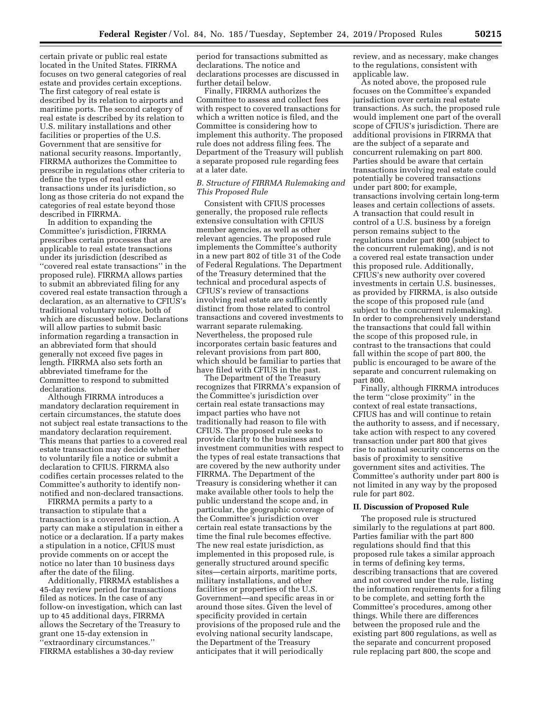certain private or public real estate located in the United States. FIRRMA focuses on two general categories of real estate and provides certain exceptions. The first category of real estate is described by its relation to airports and maritime ports. The second category of real estate is described by its relation to U.S. military installations and other facilities or properties of the U.S. Government that are sensitive for national security reasons. Importantly, FIRRMA authorizes the Committee to prescribe in regulations other criteria to define the types of real estate transactions under its jurisdiction, so long as those criteria do not expand the categories of real estate beyond those described in FIRRMA.

In addition to expanding the Committee's jurisdiction, FIRRMA prescribes certain processes that are applicable to real estate transactions under its jurisdiction (described as ''covered real estate transactions'' in the proposed rule). FIRRMA allows parties to submit an abbreviated filing for any covered real estate transaction through a declaration, as an alternative to CFIUS's traditional voluntary notice, both of which are discussed below. Declarations will allow parties to submit basic information regarding a transaction in an abbreviated form that should generally not exceed five pages in length. FIRRMA also sets forth an abbreviated timeframe for the Committee to respond to submitted declarations.

Although FIRRMA introduces a mandatory declaration requirement in certain circumstances, the statute does not subject real estate transactions to the mandatory declaration requirement. This means that parties to a covered real estate transaction may decide whether to voluntarily file a notice or submit a declaration to CFIUS. FIRRMA also codifies certain processes related to the Committee's authority to identify nonnotified and non-declared transactions.

FIRRMA permits a party to a transaction to stipulate that a transaction is a covered transaction. A party can make a stipulation in either a notice or a declaration. If a party makes a stipulation in a notice, CFIUS must provide comments on or accept the notice no later than 10 business days after the date of the filing.

Additionally, FIRRMA establishes a 45-day review period for transactions filed as notices. In the case of any follow-on investigation, which can last up to 45 additional days, FIRRMA allows the Secretary of the Treasury to grant one 15-day extension in ''extraordinary circumstances.'' FIRRMA establishes a 30-day review

period for transactions submitted as declarations. The notice and declarations processes are discussed in further detail below.

Finally, FIRRMA authorizes the Committee to assess and collect fees with respect to covered transactions for which a written notice is filed, and the Committee is considering how to implement this authority. The proposed rule does not address filing fees. The Department of the Treasury will publish a separate proposed rule regarding fees at a later date.

# *B. Structure of FIRRMA Rulemaking and This Proposed Rule*

Consistent with CFIUS processes generally, the proposed rule reflects extensive consultation with CFIUS member agencies, as well as other relevant agencies. The proposed rule implements the Committee's authority in a new part 802 of title 31 of the Code of Federal Regulations. The Department of the Treasury determined that the technical and procedural aspects of CFIUS's review of transactions involving real estate are sufficiently distinct from those related to control transactions and covered investments to warrant separate rulemaking. Nevertheless, the proposed rule incorporates certain basic features and relevant provisions from part 800, which should be familiar to parties that have filed with CFIUS in the past.

The Department of the Treasury recognizes that FIRRMA's expansion of the Committee's jurisdiction over certain real estate transactions may impact parties who have not traditionally had reason to file with CFIUS. The proposed rule seeks to provide clarity to the business and investment communities with respect to the types of real estate transactions that are covered by the new authority under FIRRMA. The Department of the Treasury is considering whether it can make available other tools to help the public understand the scope and, in particular, the geographic coverage of the Committee's jurisdiction over certain real estate transactions by the time the final rule becomes effective. The new real estate jurisdiction, as implemented in this proposed rule, is generally structured around specific sites—certain airports, maritime ports, military installations, and other facilities or properties of the U.S. Government—and specific areas in or around those sites. Given the level of specificity provided in certain provisions of the proposed rule and the evolving national security landscape, the Department of the Treasury anticipates that it will periodically

review, and as necessary, make changes to the regulations, consistent with applicable law.

As noted above, the proposed rule focuses on the Committee's expanded jurisdiction over certain real estate transactions. As such, the proposed rule would implement one part of the overall scope of CFIUS's jurisdiction. There are additional provisions in FIRRMA that are the subject of a separate and concurrent rulemaking on part 800. Parties should be aware that certain transactions involving real estate could potentially be covered transactions under part 800; for example, transactions involving certain long-term leases and certain collections of assets. A transaction that could result in control of a U.S. business by a foreign person remains subject to the regulations under part 800 (subject to the concurrent rulemaking), and is not a covered real estate transaction under this proposed rule. Additionally, CFIUS's new authority over covered investments in certain U.S. businesses, as provided by FIRRMA, is also outside the scope of this proposed rule (and subject to the concurrent rulemaking). In order to comprehensively understand the transactions that could fall within the scope of this proposed rule, in contrast to the transactions that could fall within the scope of part 800, the public is encouraged to be aware of the separate and concurrent rulemaking on part 800.

Finally, although FIRRMA introduces the term ''close proximity'' in the context of real estate transactions, CFIUS has and will continue to retain the authority to assess, and if necessary, take action with respect to any covered transaction under part 800 that gives rise to national security concerns on the basis of proximity to sensitive government sites and activities. The Committee's authority under part 800 is not limited in any way by the proposed rule for part 802.

## **II. Discussion of Proposed Rule**

The proposed rule is structured similarly to the regulations at part 800. Parties familiar with the part 800 regulations should find that this proposed rule takes a similar approach in terms of defining key terms, describing transactions that are covered and not covered under the rule, listing the information requirements for a filing to be complete, and setting forth the Committee's procedures, among other things. While there are differences between the proposed rule and the existing part 800 regulations, as well as the separate and concurrent proposed rule replacing part 800, the scope and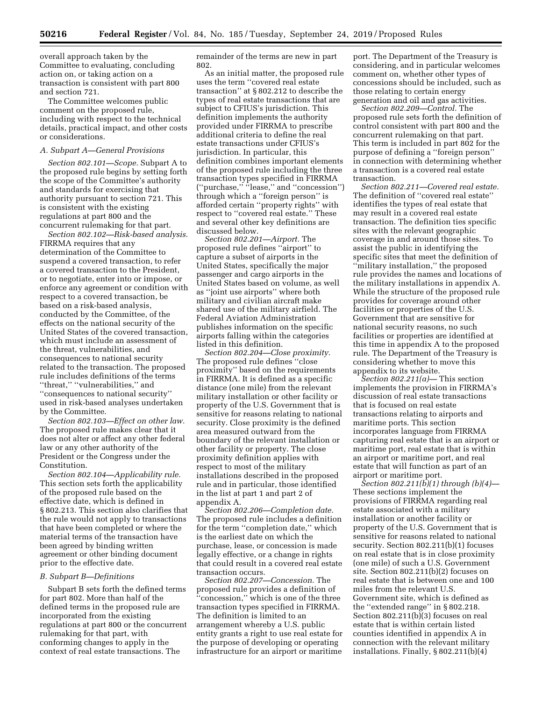overall approach taken by the Committee to evaluating, concluding action on, or taking action on a transaction is consistent with part 800 and section 721.

The Committee welcomes public comment on the proposed rule, including with respect to the technical details, practical impact, and other costs or considerations.

## *A. Subpart A—General Provisions*

*Section 802.101—Scope.* Subpart A to the proposed rule begins by setting forth the scope of the Committee's authority and standards for exercising that authority pursuant to section 721. This is consistent with the existing regulations at part 800 and the concurrent rulemaking for that part.

*Section 802.102—Risk-based analysis.*  FIRRMA requires that any determination of the Committee to suspend a covered transaction, to refer a covered transaction to the President, or to negotiate, enter into or impose, or enforce any agreement or condition with respect to a covered transaction, be based on a risk-based analysis, conducted by the Committee, of the effects on the national security of the United States of the covered transaction, which must include an assessment of the threat, vulnerabilities, and consequences to national security related to the transaction. The proposed rule includes definitions of the terms ''threat,'' ''vulnerabilities,'' and ''consequences to national security'' used in risk-based analyses undertaken by the Committee.

*Section 802.103—Effect on other law.*  The proposed rule makes clear that it does not alter or affect any other federal law or any other authority of the President or the Congress under the Constitution.

*Section 802.104—Applicability rule.*  This section sets forth the applicability of the proposed rule based on the effective date, which is defined in § 802.213. This section also clarifies that the rule would not apply to transactions that have been completed or where the material terms of the transaction have been agreed by binding written agreement or other binding document prior to the effective date.

#### *B. Subpart B—Definitions*

Subpart B sets forth the defined terms for part 802. More than half of the defined terms in the proposed rule are incorporated from the existing regulations at part 800 or the concurrent rulemaking for that part, with conforming changes to apply in the context of real estate transactions. The

remainder of the terms are new in part 802.

As an initial matter, the proposed rule uses the term ''covered real estate transaction'' at § 802.212 to describe the types of real estate transactions that are subject to CFIUS's jurisdiction. This definition implements the authority provided under FIRRMA to prescribe additional criteria to define the real estate transactions under CFIUS's jurisdiction. In particular, this definition combines important elements of the proposed rule including the three transaction types specified in FIRRMA (''purchase,'' ''lease,'' and ''concession'') through which a ''foreign person'' is afforded certain ''property rights'' with respect to ''covered real estate.'' These and several other key definitions are discussed below.

*Section 802.201—Airport.* The proposed rule defines ''airport'' to capture a subset of airports in the United States, specifically the major passenger and cargo airports in the United States based on volume, as well as ''joint use airports'' where both military and civilian aircraft make shared use of the military airfield. The Federal Aviation Administration publishes information on the specific airports falling within the categories listed in this definition.

*Section 802.204—Close proximity.*  The proposed rule defines ''close proximity'' based on the requirements in FIRRMA. It is defined as a specific distance (one mile) from the relevant military installation or other facility or property of the U.S. Government that is sensitive for reasons relating to national security. Close proximity is the defined area measured outward from the boundary of the relevant installation or other facility or property. The close proximity definition applies with respect to most of the military installations described in the proposed rule and in particular, those identified in the list at part 1 and part 2 of appendix A.

*Section 802.206—Completion date.*  The proposed rule includes a definition for the term ''completion date,'' which is the earliest date on which the purchase, lease, or concession is made legally effective, or a change in rights that could result in a covered real estate transaction occurs.

*Section 802.207—Concession.* The proposed rule provides a definition of 'concession,'' which is one of the three transaction types specified in FIRRMA. The definition is limited to an arrangement whereby a U.S. public entity grants a right to use real estate for the purpose of developing or operating infrastructure for an airport or maritime

port. The Department of the Treasury is considering, and in particular welcomes comment on, whether other types of concessions should be included, such as those relating to certain energy generation and oil and gas activities.

*Section 802.209—Control.* The proposed rule sets forth the definition of control consistent with part 800 and the concurrent rulemaking on that part. This term is included in part 802 for the purpose of defining a ''foreign person'' in connection with determining whether a transaction is a covered real estate transaction.

*Section 802.211—Covered real estate.*  The definition of ''covered real estate'' identifies the types of real estate that may result in a covered real estate transaction. The definition ties specific sites with the relevant geographic coverage in and around those sites. To assist the public in identifying the specific sites that meet the definition of ''military installation,'' the proposed rule provides the names and locations of the military installations in appendix A. While the structure of the proposed rule provides for coverage around other facilities or properties of the U.S. Government that are sensitive for national security reasons, no such facilities or properties are identified at this time in appendix A to the proposed rule. The Department of the Treasury is considering whether to move this appendix to its website.

*Section 802.211(a)—* This section implements the provision in FIRRMA's discussion of real estate transactions that is focused on real estate transactions relating to airports and maritime ports. This section incorporates language from FIRRMA capturing real estate that is an airport or maritime port, real estate that is within an airport or maritime port, and real estate that will function as part of an airport or maritime port.

*Section 802.211(b)(1) through (b)(4)—*  These sections implement the provisions of FIRRMA regarding real estate associated with a military installation or another facility or property of the U.S. Government that is sensitive for reasons related to national security. Section 802.211(b)(1) focuses on real estate that is in close proximity (one mile) of such a U.S. Government site. Section 802.211(b)(2) focuses on real estate that is between one and 100 miles from the relevant U.S. Government site, which is defined as the ''extended range'' in § 802.218. Section 802.211(b)(3) focuses on real estate that is within certain listed counties identified in appendix A in connection with the relevant military installations. Finally, § 802.211(b)(4)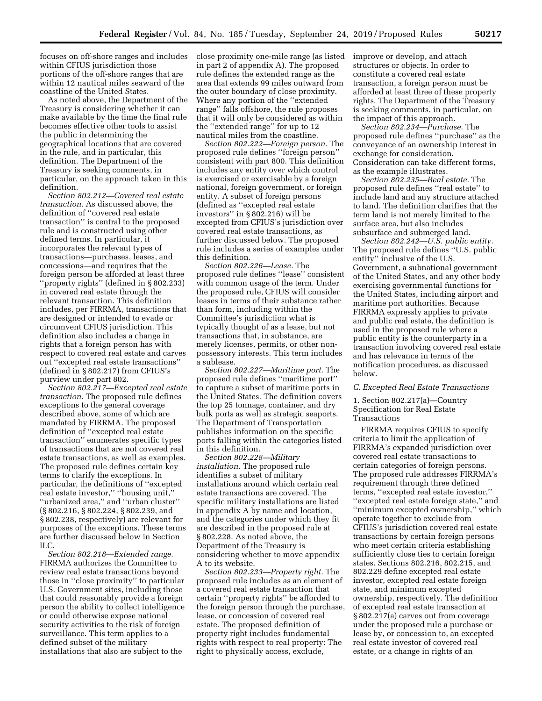focuses on off-shore ranges and includes within CFIUS jurisdiction those portions of the off-shore ranges that are within 12 nautical miles seaward of the coastline of the United States.

As noted above, the Department of the Treasury is considering whether it can make available by the time the final rule becomes effective other tools to assist the public in determining the geographical locations that are covered in the rule, and in particular, this definition. The Department of the Treasury is seeking comments, in particular, on the approach taken in this definition.

*Section 802.212—Covered real estate transaction.* As discussed above, the definition of ''covered real estate transaction'' is central to the proposed rule and is constructed using other defined terms. In particular, it incorporates the relevant types of transactions—purchases, leases, and concessions—and requires that the foreign person be afforded at least three ''property rights'' (defined in § 802.233) in covered real estate through the relevant transaction. This definition includes, per FIRRMA, transactions that are designed or intended to evade or circumvent CFIUS jurisdiction. This definition also includes a change in rights that a foreign person has with respect to covered real estate and carves out ''excepted real estate transactions'' (defined in § 802.217) from CFIUS's purview under part 802.

*Section 802.217—Excepted real estate transaction.* The proposed rule defines exceptions to the general coverage described above, some of which are mandated by FIRRMA. The proposed definition of ''excepted real estate transaction'' enumerates specific types of transactions that are not covered real estate transactions, as well as examples. The proposed rule defines certain key terms to clarify the exceptions. In particular, the definitions of ''excepted real estate investor,'' ''housing unit,'' ''urbanized area,'' and ''urban cluster'' (§ 802.216, § 802.224, § 802.239, and § 802.238, respectively) are relevant for purposes of the exceptions. These terms are further discussed below in Section  $II<sub>C</sub>$ 

*Section 802.218—Extended range.*  FIRRMA authorizes the Committee to review real estate transactions beyond those in ''close proximity'' to particular U.S. Government sites, including those that could reasonably provide a foreign person the ability to collect intelligence or could otherwise expose national security activities to the risk of foreign surveillance. This term applies to a defined subset of the military installations that also are subject to the

close proximity one-mile range (as listed in part 2 of appendix A). The proposed rule defines the extended range as the area that extends 99 miles outward from the outer boundary of close proximity. Where any portion of the ''extended range'' falls offshore, the rule proposes that it will only be considered as within the ''extended range'' for up to 12 nautical miles from the coastline.

*Section 802.222—Foreign person.* The proposed rule defines ''foreign person'' consistent with part 800. This definition includes any entity over which control is exercised or exercisable by a foreign national, foreign government, or foreign entity. A subset of foreign persons (defined as ''excepted real estate investors'' in § 802.216) will be excepted from CFIUS's jurisdiction over covered real estate transactions, as further discussed below. The proposed rule includes a series of examples under this definition.

*Section 802.226—Lease.* The proposed rule defines ''lease'' consistent with common usage of the term. Under the proposed rule, CFIUS will consider leases in terms of their substance rather than form, including within the Committee's jurisdiction what is typically thought of as a lease, but not transactions that, in substance, are merely licenses, permits, or other nonpossessory interests. This term includes a sublease.

*Section 802.227—Maritime port.* The proposed rule defines ''maritime port'' to capture a subset of maritime ports in the United States. The definition covers the top 25 tonnage, container, and dry bulk ports as well as strategic seaports. The Department of Transportation publishes information on the specific ports falling within the categories listed in this definition.

*Section 802.228—Military installation.* The proposed rule identifies a subset of military installations around which certain real estate transactions are covered. The specific military installations are listed in appendix A by name and location, and the categories under which they fit are described in the proposed rule at § 802.228. As noted above, the Department of the Treasury is considering whether to move appendix A to its website.

*Section 802.233—Property right.* The proposed rule includes as an element of a covered real estate transaction that certain ''property rights'' be afforded to the foreign person through the purchase, lease, or concession of covered real estate. The proposed definition of property right includes fundamental rights with respect to real property: The right to physically access, exclude,

improve or develop, and attach structures or objects. In order to constitute a covered real estate transaction, a foreign person must be afforded at least three of these property rights. The Department of the Treasury is seeking comments, in particular, on the impact of this approach.

*Section 802.234—Purchase.* The proposed rule defines ''purchase'' as the conveyance of an ownership interest in exchange for consideration. Consideration can take different forms, as the example illustrates.

*Section 802.235—Real estate.* The proposed rule defines ''real estate'' to include land and any structure attached to land. The definition clarifies that the term land is not merely limited to the surface area, but also includes subsurface and submerged land.

*Section 802.242—U.S. public entity.*  The proposed rule defines ''U.S. public entity'' inclusive of the U.S. Government, a subnational government of the United States, and any other body exercising governmental functions for the United States, including airport and maritime port authorities. Because FIRRMA expressly applies to private and public real estate, the definition is used in the proposed rule where a public entity is the counterparty in a transaction involving covered real estate and has relevance in terms of the notification procedures, as discussed below.

## *C. Excepted Real Estate Transactions*

1. Section 802.217(a)—Country Specification for Real Estate Transactions

FIRRMA requires CFIUS to specify criteria to limit the application of FIRRMA's expanded jurisdiction over covered real estate transactions to certain categories of foreign persons. The proposed rule addresses FIRRMA's requirement through three defined terms, ''excepted real estate investor,'' ''excepted real estate foreign state,'' and ''minimum excepted ownership,'' which operate together to exclude from CFIUS's jurisdiction covered real estate transactions by certain foreign persons who meet certain criteria establishing sufficiently close ties to certain foreign states. Sections 802.216, 802.215, and 802.229 define excepted real estate investor, excepted real estate foreign state, and minimum excepted ownership, respectively. The definition of excepted real estate transaction at § 802.217(a) carves out from coverage under the proposed rule a purchase or lease by, or concession to, an excepted real estate investor of covered real estate, or a change in rights of an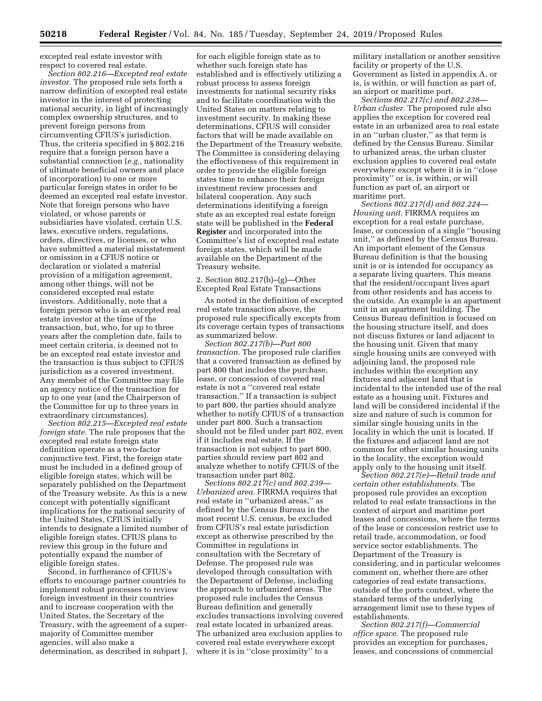excepted real estate investor with respect to covered real estate.

*Section 802.216—Excepted real estate investor.* The proposed rule sets forth a narrow definition of excepted real estate investor in the interest of protecting national security, in light of increasingly complex ownership structures, and to prevent foreign persons from circumventing CFIUS's jurisdiction. Thus, the criteria specified in § 802.216 require that a foreign person have a substantial connection (*e.g.,* nationality of ultimate beneficial owners and place of incorporation) to one or more particular foreign states in order to be deemed an excepted real estate investor. Note that foreign persons who have violated, or whose parents or subsidiaries have violated, certain U.S. laws, executive orders, regulations, orders, directives, or licenses, or who have submitted a material misstatement or omission in a CFIUS notice or declaration or violated a material provision of a mitigation agreement, among other things, will not be considered excepted real estate investors. Additionally, note that a foreign person who is an excepted real estate investor at the time of the transaction, but, who, for up to three years after the completion date, fails to meet certain criteria, is deemed not to be an excepted real estate investor and the transaction is thus subject to CFIUS jurisdiction as a covered investment. Any member of the Committee may file an agency notice of the transaction for up to one year (and the Chairperson of the Committee for up to three years in extraordinary circumstances).

*Section 802.215—Excepted real estate foreign state.* The rule proposes that the excepted real estate foreign state definition operate as a two-factor conjunctive test. First, the foreign state must be included in a defined group of eligible foreign states, which will be separately published on the Department of the Treasury website. As this is a new concept with potentially significant implications for the national security of the United States, CFIUS initially intends to designate a limited number of eligible foreign states. CFIUS plans to review this group in the future and potentially expand the number of eligible foreign states.

Second, in furtherance of CFIUS's efforts to encourage partner countries to implement robust processes to review foreign investment in their countries and to increase cooperation with the United States, the Secretary of the Treasury, with the agreement of a supermajority of Committee member agencies, will also make a determination, as described in subpart J,

for each eligible foreign state as to whether such foreign state has established and is effectively utilizing a robust process to assess foreign investments for national security risks and to facilitate coordination with the United States on matters relating to investment security. In making these determinations, CFIUS will consider factors that will be made available on the Department of the Treasury website. The Committee is considering delaying the effectiveness of this requirement in order to provide the eligible foreign states time to enhance their foreign investment review processes and bilateral cooperation. Any such determinations identifying a foreign state as an excepted real estate foreign state will be published in the **Federal Register** and incorporated into the Committee's list of excepted real estate foreign states, which will be made available on the Department of the Treasury website.

## 2. Section 802.217(b)–(g)—Other Excepted Real Estate Transactions

As noted in the definition of excepted real estate transaction above, the proposed rule specifically excepts from its coverage certain types of transactions as summarized below.

*Section 802.217(b)—Part 800 transaction.* The proposed rule clarifies that a covered transaction as defined by part 800 that includes the purchase, lease, or concession of covered real estate is not a ''covered real estate transaction.'' If a transaction is subject to part 800, the parties should analyze whether to notify CFIUS of a transaction under part 800. Such a transaction should not be filed under part 802, even if it includes real estate. If the transaction is not subject to part 800, parties should review part 802 and analyze whether to notify CFIUS of the transaction under part 802.

*Sections 802.217(c) and 802.239— Urbanized area.* FIRRMA requires that real estate in ''urbanized areas,'' as defined by the Census Bureau in the most recent U.S. census, be excluded from CFIUS's real estate jurisdiction except as otherwise prescribed by the Committee in regulations in consultation with the Secretary of Defense. The proposed rule was developed through consultation with the Department of Defense, including the approach to urbanized areas. The proposed rule includes the Census Bureau definition and generally excludes transactions involving covered real estate located in urbanized areas. The urbanized area exclusion applies to covered real estate everywhere except where it is in ''close proximity'' to a

military installation or another sensitive facility or property of the U.S. Government as listed in appendix A, or is, is within, or will function as part of, an airport or maritime port.

*Sections 802.217(c) and 802.238— Urban cluster.* The proposed rule also applies the exception for covered real estate in an urbanized area to real estate in an ''urban cluster,'' as that term is defined by the Census Bureau. Similar to urbanized areas, the urban cluster exclusion applies to covered real estate everywhere except where it is in ''close proximity'' or is, is within, or will function as part of, an airport or maritime port.

*Sections 802.217(d) and 802.224— Housing unit.* FIRRMA requires an exception for a real estate purchase, lease, or concession of a single ''housing unit,'' as defined by the Census Bureau. An important element of the Census Bureau definition is that the housing unit is or is intended for occupancy as a separate living quarters. This means that the resident/occupant lives apart from other residents and has access to the outside. An example is an apartment unit in an apartment building. The Census Bureau definition is focused on the housing structure itself, and does not discuss fixtures or land adjacent to the housing unit. Given that many single housing units are conveyed with adjoining land, the proposed rule includes within the exception any fixtures and adjacent land that is incidental to the intended use of the real estate as a housing unit. Fixtures and land will be considered incidental if the size and nature of such is common for similar single housing units in the locality in which the unit is located. If the fixtures and adjacent land are not common for other similar housing units in the locality, the exception would apply only to the housing unit itself.

*Section 802.217(e)—Retail trade and certain other establishments.* The proposed rule provides an exception related to real estate transactions in the context of airport and maritime port leases and concessions, where the terms of the lease or concession restrict use to retail trade, accommodation, or food service sector establishments. The Department of the Treasury is considering, and in particular welcomes comment on, whether there are other categories of real estate transactions, outside of the ports context, where the standard terms of the underlying arrangement limit use to these types of establishments.

*Section 802.217(f)—Commercial office space.* The proposed rule provides an exception for purchases, leases, and concessions of commercial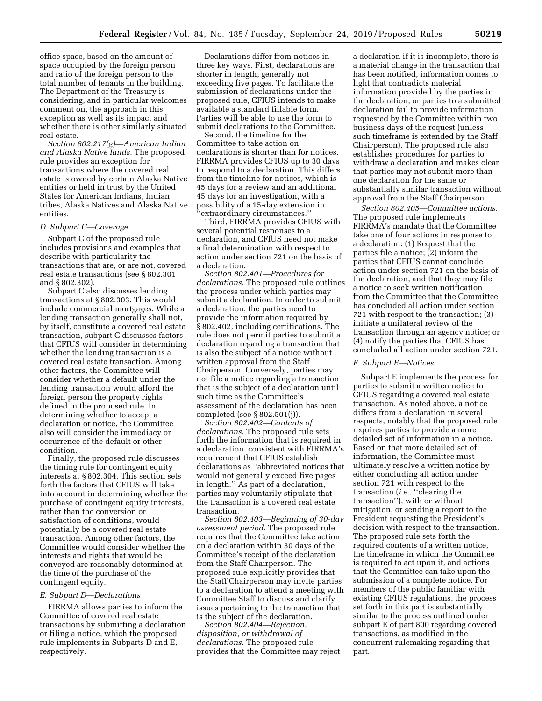office space, based on the amount of space occupied by the foreign person and ratio of the foreign person to the total number of tenants in the building. The Department of the Treasury is considering, and in particular welcomes comment on, the approach in this exception as well as its impact and whether there is other similarly situated real estate.

*Section 802.217(g)—American Indian and Alaska Native lands.* The proposed rule provides an exception for transactions where the covered real estate is owned by certain Alaska Native entities or held in trust by the United States for American Indians, Indian tribes, Alaska Natives and Alaska Native entities.

## *D. Subpart C—Coverage*

Subpart C of the proposed rule includes provisions and examples that describe with particularity the transactions that are, or are not, covered real estate transactions (see § 802.301 and § 802.302).

Subpart C also discusses lending transactions at § 802.303. This would include commercial mortgages. While a lending transaction generally shall not, by itself, constitute a covered real estate transaction, subpart C discusses factors that CFIUS will consider in determining whether the lending transaction is a covered real estate transaction. Among other factors, the Committee will consider whether a default under the lending transaction would afford the foreign person the property rights defined in the proposed rule. In determining whether to accept a declaration or notice, the Committee also will consider the immediacy or occurrence of the default or other condition.

Finally, the proposed rule discusses the timing rule for contingent equity interests at § 802.304. This section sets forth the factors that CFIUS will take into account in determining whether the purchase of contingent equity interests, rather than the conversion or satisfaction of conditions, would potentially be a covered real estate transaction. Among other factors, the Committee would consider whether the interests and rights that would be conveyed are reasonably determined at the time of the purchase of the contingent equity.

## *E. Subpart D—Declarations*

FIRRMA allows parties to inform the Committee of covered real estate transactions by submitting a declaration or filing a notice, which the proposed rule implements in Subparts D and E, respectively.

Declarations differ from notices in three key ways. First, declarations are shorter in length, generally not exceeding five pages. To facilitate the submission of declarations under the proposed rule, CFIUS intends to make available a standard fillable form. Parties will be able to use the form to submit declarations to the Committee.

Second, the timeline for the Committee to take action on declarations is shorter than for notices. FIRRMA provides CFIUS up to 30 days to respond to a declaration. This differs from the timeline for notices, which is 45 days for a review and an additional 45 days for an investigation, with a possibility of a 15-day extension in 'extraordinary circumstances.''

Third, FIRRMA provides CFIUS with several potential responses to a declaration, and CFIUS need not make a final determination with respect to action under section 721 on the basis of a declaration.

*Section 802.401—Procedures for declarations.* The proposed rule outlines the process under which parties may submit a declaration. In order to submit a declaration, the parties need to provide the information required by § 802.402, including certifications. The rule does not permit parties to submit a declaration regarding a transaction that is also the subject of a notice without written approval from the Staff Chairperson. Conversely, parties may not file a notice regarding a transaction that is the subject of a declaration until such time as the Committee's assessment of the declaration has been completed (see § 802.501(j)).

*Section 802.402—Contents of declarations.* The proposed rule sets forth the information that is required in a declaration, consistent with FIRRMA's requirement that CFIUS establish declarations as ''abbreviated notices that would not generally exceed five pages in length.'' As part of a declaration, parties may voluntarily stipulate that the transaction is a covered real estate transaction.

*Section 802.403—Beginning of 30-day assessment period.* The proposed rule requires that the Committee take action on a declaration within 30 days of the Committee's receipt of the declaration from the Staff Chairperson. The proposed rule explicitly provides that the Staff Chairperson may invite parties to a declaration to attend a meeting with Committee Staff to discuss and clarify issues pertaining to the transaction that is the subject of the declaration.

*Section 802.404—Rejection, disposition, or withdrawal of declarations.* The proposed rule provides that the Committee may reject a declaration if it is incomplete, there is a material change in the transaction that has been notified, information comes to light that contradicts material information provided by the parties in the declaration, or parties to a submitted declaration fail to provide information requested by the Committee within two business days of the request (unless such timeframe is extended by the Staff Chairperson). The proposed rule also establishes procedures for parties to withdraw a declaration and makes clear that parties may not submit more than one declaration for the same or substantially similar transaction without approval from the Staff Chairperson.

*Section 802.405—Committee actions.*  The proposed rule implements FIRRMA's mandate that the Committee take one of four actions in response to a declaration: (1) Request that the parties file a notice; (2) inform the parties that CFIUS cannot conclude action under section 721 on the basis of the declaration, and that they may file a notice to seek written notification from the Committee that the Committee has concluded all action under section 721 with respect to the transaction; (3) initiate a unilateral review of the transaction through an agency notice; or (4) notify the parties that CFIUS has concluded all action under section 721.

## *F. Subpart E—Notices*

Subpart E implements the process for parties to submit a written notice to CFIUS regarding a covered real estate transaction. As noted above, a notice differs from a declaration in several respects, notably that the proposed rule requires parties to provide a more detailed set of information in a notice. Based on that more detailed set of information, the Committee must ultimately resolve a written notice by either concluding all action under section 721 with respect to the transaction (*i.e.*, "clearing the transaction''), with or without mitigation, or sending a report to the President requesting the President's decision with respect to the transaction. The proposed rule sets forth the required contents of a written notice, the timeframe in which the Committee is required to act upon it, and actions that the Committee can take upon the submission of a complete notice. For members of the public familiar with existing CFIUS regulations, the process set forth in this part is substantially similar to the process outlined under subpart E of part 800 regarding covered transactions, as modified in the concurrent rulemaking regarding that part.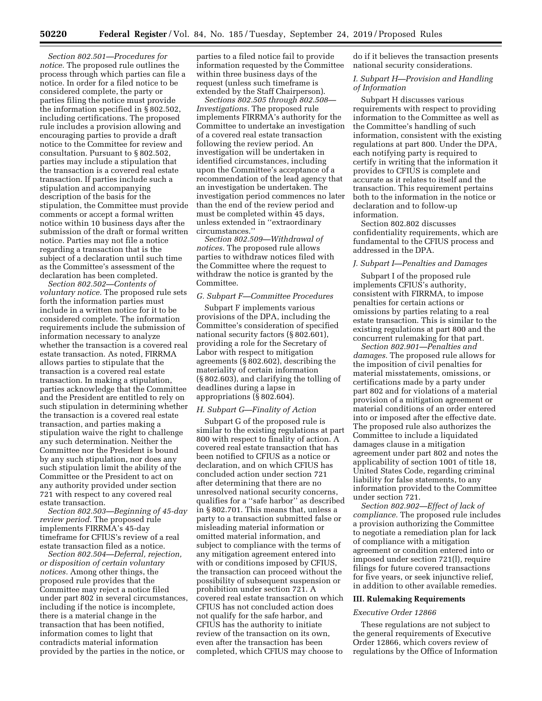*Section 802.501—Procedures for notice.* The proposed rule outlines the process through which parties can file a notice. In order for a filed notice to be considered complete, the party or parties filing the notice must provide the information specified in § 802.502, including certifications. The proposed rule includes a provision allowing and encouraging parties to provide a draft notice to the Committee for review and consultation. Pursuant to § 802.502, parties may include a stipulation that the transaction is a covered real estate transaction. If parties include such a stipulation and accompanying description of the basis for the stipulation, the Committee must provide comments or accept a formal written notice within 10 business days after the submission of the draft or formal written notice. Parties may not file a notice regarding a transaction that is the subject of a declaration until such time as the Committee's assessment of the declaration has been completed.

*Section 802.502—Contents of voluntary notice.* The proposed rule sets forth the information parties must include in a written notice for it to be considered complete. The information requirements include the submission of information necessary to analyze whether the transaction is a covered real estate transaction. As noted, FIRRMA allows parties to stipulate that the transaction is a covered real estate transaction. In making a stipulation, parties acknowledge that the Committee and the President are entitled to rely on such stipulation in determining whether the transaction is a covered real estate transaction, and parties making a stipulation waive the right to challenge any such determination. Neither the Committee nor the President is bound by any such stipulation, nor does any such stipulation limit the ability of the Committee or the President to act on any authority provided under section 721 with respect to any covered real estate transaction.

*Section 802.503—Beginning of 45-day review period.* The proposed rule implements FIRRMA's 45-day timeframe for CFIUS's review of a real estate transaction filed as a notice.

*Section 802.504—Deferral, rejection, or disposition of certain voluntary notices.* Among other things, the proposed rule provides that the Committee may reject a notice filed under part 802 in several circumstances, including if the notice is incomplete, there is a material change in the transaction that has been notified, information comes to light that contradicts material information provided by the parties in the notice, or

parties to a filed notice fail to provide information requested by the Committee within three business days of the request (unless such timeframe is extended by the Staff Chairperson).

*Sections 802.505 through 802.508— Investigations.* The proposed rule implements FIRRMA's authority for the Committee to undertake an investigation of a covered real estate transaction following the review period. An investigation will be undertaken in identified circumstances, including upon the Committee's acceptance of a recommendation of the lead agency that an investigation be undertaken. The investigation period commences no later than the end of the review period and must be completed within 45 days, unless extended in ''extraordinary circumstances.''

*Section 802.509—Withdrawal of notices.* The proposed rule allows parties to withdraw notices filed with the Committee where the request to withdraw the notice is granted by the Committee.

## *G. Subpart F—Committee Procedures*

Subpart F implements various provisions of the DPA, including the Committee's consideration of specified national security factors (§ 802.601), providing a role for the Secretary of Labor with respect to mitigation agreements (§ 802.602), describing the materiality of certain information (§ 802.603), and clarifying the tolling of deadlines during a lapse in appropriations (§ 802.604).

## *H. Subpart G—Finality of Action*

Subpart G of the proposed rule is similar to the existing regulations at part 800 with respect to finality of action. A covered real estate transaction that has been notified to CFIUS as a notice or declaration, and on which CFIUS has concluded action under section 721 after determining that there are no unresolved national security concerns, qualifies for a ''safe harbor'' as described in § 802.701. This means that, unless a party to a transaction submitted false or misleading material information or omitted material information, and subject to compliance with the terms of any mitigation agreement entered into with or conditions imposed by CFIUS, the transaction can proceed without the possibility of subsequent suspension or prohibition under section 721. A covered real estate transaction on which CFIUS has not concluded action does not qualify for the safe harbor, and CFIUS has the authority to initiate review of the transaction on its own, even after the transaction has been completed, which CFIUS may choose to

do if it believes the transaction presents national security considerations.

## *I. Subpart H—Provision and Handling of Information*

Subpart H discusses various requirements with respect to providing information to the Committee as well as the Committee's handling of such information, consistent with the existing regulations at part 800. Under the DPA, each notifying party is required to certify in writing that the information it provides to CFIUS is complete and accurate as it relates to itself and the transaction. This requirement pertains both to the information in the notice or declaration and to follow-up information.

Section 802.802 discusses confidentiality requirements, which are fundamental to the CFIUS process and addressed in the DPA.

## *J. Subpart I—Penalties and Damages*

Subpart I of the proposed rule implements CFIUS's authority, consistent with FIRRMA, to impose penalties for certain actions or omissions by parties relating to a real estate transaction. This is similar to the existing regulations at part 800 and the concurrent rulemaking for that part.

*Section 802.901—Penalties and damages.* The proposed rule allows for the imposition of civil penalties for material misstatements, omissions, or certifications made by a party under part 802 and for violations of a material provision of a mitigation agreement or material conditions of an order entered into or imposed after the effective date. The proposed rule also authorizes the Committee to include a liquidated damages clause in a mitigation agreement under part 802 and notes the applicability of section 1001 of title 18, United States Code, regarding criminal liability for false statements, to any information provided to the Committee under section 721.

*Section 802.902—Effect of lack of compliance.* The proposed rule includes a provision authorizing the Committee to negotiate a remediation plan for lack of compliance with a mitigation agreement or condition entered into or imposed under section 721(l), require filings for future covered transactions for five years, or seek injunctive relief, in addition to other available remedies.

#### **III. Rulemaking Requirements**

### *Executive Order 12866*

These regulations are not subject to the general requirements of Executive Order 12866, which covers review of regulations by the Office of Information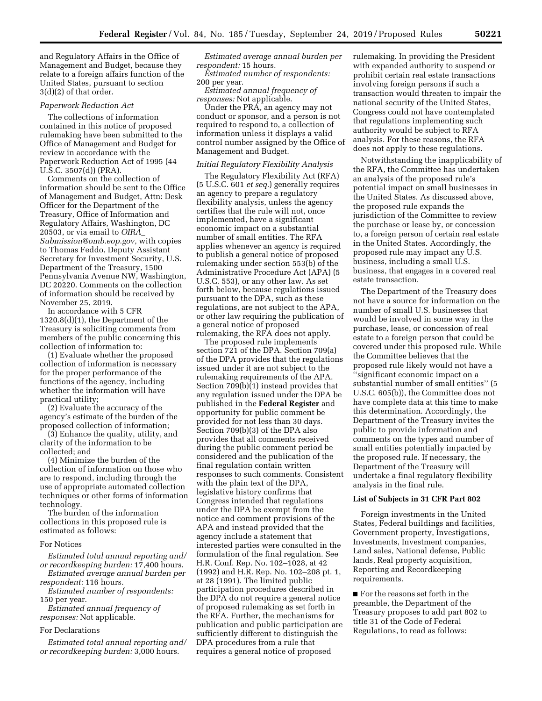and Regulatory Affairs in the Office of Management and Budget, because they relate to a foreign affairs function of the United States, pursuant to section 3(d)(2) of that order.

# *Paperwork Reduction Act*

The collections of information contained in this notice of proposed rulemaking have been submitted to the Office of Management and Budget for review in accordance with the Paperwork Reduction Act of 1995 (44 U.S.C. 3507(d)) (PRA).

Comments on the collection of information should be sent to the Office of Management and Budget, Attn: Desk Officer for the Department of the Treasury, Office of Information and Regulatory Affairs, Washington, DC 20503, or via email to *[OIRA](mailto:OIRA_Submission@omb.eop.gov)*\_ *[Submission@omb.eop.gov,](mailto:OIRA_Submission@omb.eop.gov)* with copies to Thomas Feddo, Deputy Assistant Secretary for Investment Security, U.S. Department of the Treasury, 1500 Pennsylvania Avenue NW, Washington, DC 20220. Comments on the collection of information should be received by November 25, 2019.

In accordance with 5 CFR 1320.8(d)(1), the Department of the Treasury is soliciting comments from members of the public concerning this collection of information to:

(1) Evaluate whether the proposed collection of information is necessary for the proper performance of the functions of the agency, including whether the information will have practical utility;

(2) Evaluate the accuracy of the agency's estimate of the burden of the proposed collection of information;

(3) Enhance the quality, utility, and clarity of the information to be collected; and

(4) Minimize the burden of the collection of information on those who are to respond, including through the use of appropriate automated collection techniques or other forms of information technology.

The burden of the information collections in this proposed rule is estimated as follows:

## For Notices

*Estimated total annual reporting and/ or recordkeeping burden:* 17,400 hours. *Estimated average annual burden per* 

*respondent:* 116 hours. *Estimated number of respondents:* 

150 per year.

*Estimated annual frequency of responses:* Not applicable.

## For Declarations

*Estimated total annual reporting and/ or recordkeeping burden:* 3,000 hours.

*Estimated average annual burden per respondent:* 15 hours.

*Estimated number of respondents:*  200 per year.

*Estimated annual frequency of responses:* Not applicable.

Under the PRA, an agency may not conduct or sponsor, and a person is not required to respond to, a collection of information unless it displays a valid control number assigned by the Office of Management and Budget.

## *Initial Regulatory Flexibility Analysis*

The Regulatory Flexibility Act (RFA) (5 U.S.C. 601 *et seq.*) generally requires an agency to prepare a regulatory flexibility analysis, unless the agency certifies that the rule will not, once implemented, have a significant economic impact on a substantial number of small entities. The RFA applies whenever an agency is required to publish a general notice of proposed rulemaking under section 553(b) of the Administrative Procedure Act (APA) (5 U.S.C. 553), or any other law. As set forth below, because regulations issued pursuant to the DPA, such as these regulations, are not subject to the APA, or other law requiring the publication of a general notice of proposed rulemaking, the RFA does not apply.

The proposed rule implements section 721 of the DPA. Section 709(a) of the DPA provides that the regulations issued under it are not subject to the rulemaking requirements of the APA. Section 709(b)(1) instead provides that any regulation issued under the DPA be published in the **Federal Register** and opportunity for public comment be provided for not less than 30 days. Section 709(b)(3) of the DPA also provides that all comments received during the public comment period be considered and the publication of the final regulation contain written responses to such comments. Consistent with the plain text of the DPA, legislative history confirms that Congress intended that regulations under the DPA be exempt from the notice and comment provisions of the APA and instead provided that the agency include a statement that interested parties were consulted in the formulation of the final regulation. See H.R. Conf. Rep. No. 102–1028, at 42 (1992) and H.R. Rep. No. 102–208 pt. 1, at 28 (1991). The limited public participation procedures described in the DPA do not require a general notice of proposed rulemaking as set forth in the RFA. Further, the mechanisms for publication and public participation are sufficiently different to distinguish the DPA procedures from a rule that requires a general notice of proposed

rulemaking. In providing the President with expanded authority to suspend or prohibit certain real estate transactions involving foreign persons if such a transaction would threaten to impair the national security of the United States, Congress could not have contemplated that regulations implementing such authority would be subject to RFA analysis. For these reasons, the RFA does not apply to these regulations.

Notwithstanding the inapplicability of the RFA, the Committee has undertaken an analysis of the proposed rule's potential impact on small businesses in the United States. As discussed above, the proposed rule expands the jurisdiction of the Committee to review the purchase or lease by, or concession to, a foreign person of certain real estate in the United States. Accordingly, the proposed rule may impact any U.S. business, including a small U.S. business, that engages in a covered real estate transaction.

The Department of the Treasury does not have a source for information on the number of small U.S. businesses that would be involved in some way in the purchase, lease, or concession of real estate to a foreign person that could be covered under this proposed rule. While the Committee believes that the proposed rule likely would not have a ''significant economic impact on a substantial number of small entities'' (5 U.S.C. 605(b)), the Committee does not have complete data at this time to make this determination. Accordingly, the Department of the Treasury invites the public to provide information and comments on the types and number of small entities potentially impacted by the proposed rule. If necessary, the Department of the Treasury will undertake a final regulatory flexibility analysis in the final rule.

#### **List of Subjects in 31 CFR Part 802**

Foreign investments in the United States, Federal buildings and facilities, Government property, Investigations, Investments, Investment companies, Land sales, National defense, Public lands, Real property acquisition, Reporting and Recordkeeping requirements.

■ For the reasons set forth in the preamble, the Department of the Treasury proposes to add part 802 to title 31 of the Code of Federal Regulations, to read as follows: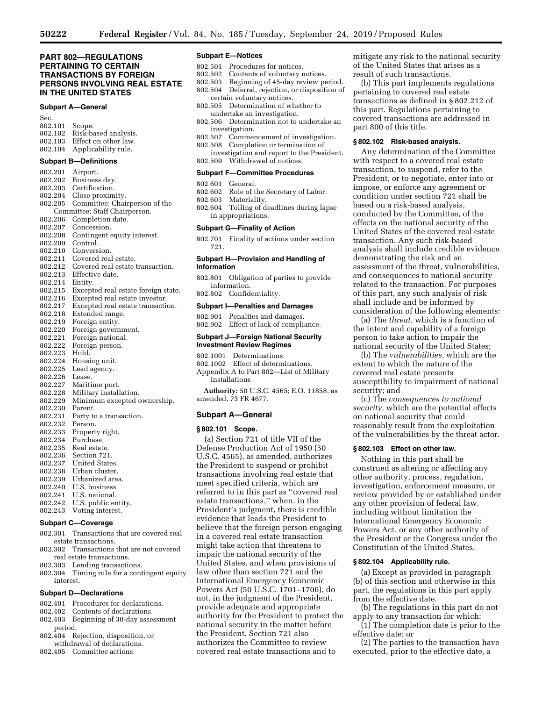# **PART 802—REGULATIONS PERTAINING TO CERTAIN TRANSACTIONS BY FOREIGN PERSONS INVOLVING REAL ESTATE IN THE UNITED STATES**

## **Subpart A—General**

| Sec.           |                              |
|----------------|------------------------------|
| 802.101 Scope. |                              |
|                | 802.102 Risk-based analysis. |
|                | 802.103 Effect on other law. |
|                | 802.104 Applicability rule.  |

# **Subpart B—Definitions**

802.201 Airport. Business day. 802.203 Certification.<br>802.204 Close proxim Close proximity. 802.205 Committee; Chairperson of the Committee; Staff Chairperson. 802.206 Completion date.<br>802.207 Concession. Concession. 802.208 Contingent equity interest. Control. 802.210 Conversion. 802.211 Covered real estate.<br>802.212 Covered real estate Covered real estate transaction. 802.213 Effective date. 802.214 Entity. 802.215 Excepted real estate foreign state. 802.216 Excepted real estate investor. Excepted real estate transaction. 802.218 Extended range.<br>802.219 Foreign entity. 802.219 Foreign entity. Foreign government. 802.221 Foreign national. 802.222 Foreign person. 802.223 Hold. 802.224 Housing unit.<br>802.225 Lead agency. Lead agency. 802.226 Lease. 802.227 Maritime port. Military installation. 802.229 Minimum excepted ownership. 802.230 Parent. 802.231 Party to a transaction. 802.232 Person.<br>802.233 Propert 802.233 Property right.<br>802.234 Purchase. Purchase. 802.235 Real estate. 802.236 Section 721. 802.237 United States. 802.238 Urban cluster.<br>802.239 Urbanized are Urbanized area. 802.240 U.S. business.<br>802.241 U.S. national. U.S. national. 802.242 U.S. public entity. 802.243 Voting interest.

#### **Subpart C—Coverage**

- 802.301 Transactions that are covered real estate transactions.
- 802.302 Transactions that are not covered real estate transactions.
- 802.303 Lending transactions.
- 802.304 Timing rule for a contingent equity interest.

### **Subpart D—Declarations**

- 802.401 Procedures for declarations.
- 802.402 Contents of declarations.<br>802.403 Beginning of 30-day asse
- Beginning of 30-day assessment period.
- 802.404 Rejection, disposition, or withdrawal of declarations.
- 802.405 Committee actions.

#### **Subpart E—Notices**

- 802.501 Procedures for notices.<br>802.502 Contents of voluntary
- 802.502 Contents of voluntary notices.<br>802.503 Beginning of 45-day review pe
- Beginning of 45-day review period.
- 802.504 Deferral, rejection, or disposition of certain voluntary notices. 802.505 Determination of whether to
- undertake an investigation.
- 802.506 Determination not to undertake an investigation.<br>802.507 Commer
- 802.507 Commencement of investigation.
- Completion or termination of investigation and report to the President. 802.509 Withdrawal of notices.

#### **Subpart F—Committee Procedures**

- 
- 802.601 General. Role of the Secretary of Labor.
- 802.603 Materiality.
- 802.604 Tolling of deadlines during lapse in appropriations.

#### **Subpart G—Finality of Action**

802.701 Finality of actions under section 721.

### **Subpart H—Provision and Handling of Information**

- 802.801 Obligation of parties to provide information.
- 802.802 Confidentiality.

## **Subpart I—Penalties and Damages**

802.901 Penalties and damages. 802.902 Effect of lack of compliance.

## **Subpart J—Foreign National Security Investment Review Regimes**

- 802.1001 Determinations.
- 802.1002 Effect of determinations. Appendix A to Part 802—List of Military
- Installations **Authority:** 50 U.S.C. 4565; E.O. 11858, as

amended, 73 FR 4677.

## **Subpart A—General**

#### **§ 802.101 Scope.**

(a) Section 721 of title VII of the Defense Production Act of 1950 (50 U.S.C. 4565), as amended, authorizes the President to suspend or prohibit transactions involving real estate that meet specified criteria, which are referred to in this part as ''covered real estate transactions,'' when, in the President's judgment, there is credible evidence that leads the President to believe that the foreign person engaging in a covered real estate transaction might take action that threatens to impair the national security of the United States, and when provisions of law other than section 721 and the International Emergency Economic Powers Act (50 U.S.C. 1701–1706), do not, in the judgment of the President, provide adequate and appropriate authority for the President to protect the national security in the matter before the President. Section 721 also authorizes the Committee to review covered real estate transactions and to

mitigate any risk to the national security of the United States that arises as a result of such transactions.

(b) This part implements regulations pertaining to covered real estate transactions as defined in § 802.212 of this part. Regulations pertaining to covered transactions are addressed in part 800 of this title.

#### **§ 802.102 Risk-based analysis.**

Any determination of the Committee with respect to a covered real estate transaction, to suspend, refer to the President, or to negotiate, enter into or impose, or enforce any agreement or condition under section 721 shall be based on a risk-based analysis, conducted by the Committee, of the effects on the national security of the United States of the covered real estate transaction. Any such risk-based analysis shall include credible evidence demonstrating the risk and an assessment of the threat, vulnerabilities, and consequences to national security related to the transaction. For purposes of this part, any such analysis of risk shall include and be informed by consideration of the following elements:

(a) The *threat,* which is a function of the intent and capability of a foreign person to take action to impair the national security of the United States;

(b) The *vulnerabilities,* which are the extent to which the nature of the covered real estate presents susceptibility to impairment of national security; and

(c) The *consequences to national security,* which are the potential effects on national security that could reasonably result from the exploitation of the vulnerabilities by the threat actor.

#### **§ 802.103 Effect on other law.**

Nothing in this part shall be construed as altering or affecting any other authority, process, regulation, investigation, enforcement measure, or review provided by or established under any other provision of federal law, including without limitation the International Emergency Economic Powers Act, or any other authority of the President or the Congress under the Constitution of the United States.

#### **§ 802.104 Applicability rule.**

(a) Except as provided in paragraph (b) of this section and otherwise in this part, the regulations in this part apply from the effective date.

(b) The regulations in this part do not apply to any transaction for which:

(1) The completion date is prior to the effective date; or

(2) The parties to the transaction have executed, prior to the effective date, a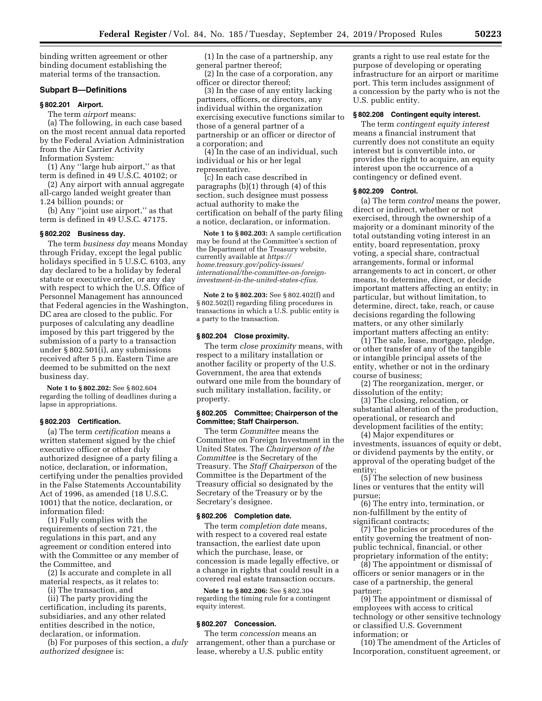binding written agreement or other binding document establishing the material terms of the transaction.

### **Subpart B—Definitions**

#### **§ 802.201 Airport.**

The term *airport* means:

(a) The following, in each case based on the most recent annual data reported by the Federal Aviation Administration from the Air Carrier Activity Information System:

(1) Any ''large hub airport,'' as that term is defined in 49 U.S.C. 40102; or

(2) Any airport with annual aggregate all-cargo landed weight greater than 1.24 billion pounds; or

(b) Any ''joint use airport,'' as that term is defined in 49 U.S.C. 47175.

## **§ 802.202 Business day.**

The term *business day* means Monday through Friday, except the legal public holidays specified in 5 U.S.C. 6103, any day declared to be a holiday by federal statute or executive order, or any day with respect to which the U.S. Office of Personnel Management has announced that Federal agencies in the Washington, DC area are closed to the public. For purposes of calculating any deadline imposed by this part triggered by the submission of a party to a transaction under § 802.501(i), any submissions received after 5 p.m. Eastern Time are deemed to be submitted on the next business day.

**Note 1 to § 802.202:** See § 802.604 regarding the tolling of deadlines during a lapse in appropriations.

## **§ 802.203 Certification.**

(a) The term *certification* means a written statement signed by the chief executive officer or other duly authorized designee of a party filing a notice, declaration, or information, certifying under the penalties provided in the False Statements Accountability Act of 1996, as amended (18 U.S.C. 1001) that the notice, declaration, or information filed:

(1) Fully complies with the requirements of section 721, the regulations in this part, and any agreement or condition entered into with the Committee or any member of the Committee, and

(2) Is accurate and complete in all material respects, as it relates to:

(i) The transaction, and

(ii) The party providing the certification, including its parents, subsidiaries, and any other related entities described in the notice, declaration, or information.

(b) For purposes of this section, a *duly authorized designee* is:

(1) In the case of a partnership, any general partner thereof;

(2) In the case of a corporation, any officer or director thereof;

(3) In the case of any entity lacking partners, officers, or directors, any individual within the organization exercising executive functions similar to those of a general partner of a partnership or an officer or director of a corporation; and

(4) In the case of an individual, such individual or his or her legal representative.

(c) In each case described in paragraphs (b)(1) through (4) of this section, such designee must possess actual authority to make the certification on behalf of the party filing a notice, declaration, or information.

**Note 1 to § 802.203:** A sample certification may be found at the Committee's section of the Department of the Treasury website, currently available at *[https://](https://home.treasury.gov/policy-issues/international/the-committee-on-foreign-investment-in-the-united-states-cfius) [home.treasury.gov/policy-issues/](https://home.treasury.gov/policy-issues/international/the-committee-on-foreign-investment-in-the-united-states-cfius)  [international/the-committee-on-foreign](https://home.treasury.gov/policy-issues/international/the-committee-on-foreign-investment-in-the-united-states-cfius)[investment-in-the-united-states-cfius.](https://home.treasury.gov/policy-issues/international/the-committee-on-foreign-investment-in-the-united-states-cfius)* 

**Note 2 to § 802.203:** See § 802.402(f) and § 802.502(l) regarding filing procedures in transactions in which a U.S. public entity is a party to the transaction.

## **§ 802.204 Close proximity.**

The term *close proximity* means, with respect to a military installation or another facility or property of the U.S. Government, the area that extends outward one mile from the boundary of such military installation, facility, or property.

## **§ 802.205 Committee; Chairperson of the Committee; Staff Chairperson.**

The term *Committee* means the Committee on Foreign Investment in the United States. The *Chairperson of the Committee* is the Secretary of the Treasury. The *Staff Chairperson* of the Committee is the Department of the Treasury official so designated by the Secretary of the Treasury or by the Secretary's designee.

## **§ 802.206 Completion date.**

The term *completion date* means, with respect to a covered real estate transaction, the earliest date upon which the purchase, lease, or concession is made legally effective, or a change in rights that could result in a covered real estate transaction occurs.

**Note 1 to § 802.206:** See § 802.304 regarding the timing rule for a contingent equity interest.

## **§ 802.207 Concession.**

The term *concession* means an arrangement, other than a purchase or lease, whereby a U.S. public entity

grants a right to use real estate for the purpose of developing or operating infrastructure for an airport or maritime port. This term includes assignment of a concession by the party who is not the U.S. public entity.

#### **§ 802.208 Contingent equity interest.**

The term *contingent equity interest*  means a financial instrument that currently does not constitute an equity interest but is convertible into, or provides the right to acquire, an equity interest upon the occurrence of a contingency or defined event.

### **§ 802.209 Control.**

(a) The term *control* means the power, direct or indirect, whether or not exercised, through the ownership of a majority or a dominant minority of the total outstanding voting interest in an entity, board representation, proxy voting, a special share, contractual arrangements, formal or informal arrangements to act in concert, or other means, to determine, direct, or decide important matters affecting an entity; in particular, but without limitation, to determine, direct, take, reach, or cause decisions regarding the following matters, or any other similarly important matters affecting an entity:

(1) The sale, lease, mortgage, pledge, or other transfer of any of the tangible or intangible principal assets of the entity, whether or not in the ordinary course of business;

(2) The reorganization, merger, or dissolution of the entity;

(3) The closing, relocation, or substantial alteration of the production, operational, or research and development facilities of the entity;

(4) Major expenditures or investments, issuances of equity or debt, or dividend payments by the entity, or approval of the operating budget of the entity;

(5) The selection of new business lines or ventures that the entity will pursue;

(6) The entry into, termination, or non-fulfillment by the entity of significant contracts;

(7) The policies or procedures of the entity governing the treatment of nonpublic technical, financial, or other proprietary information of the entity;

(8) The appointment or dismissal of officers or senior managers or in the case of a partnership, the general partner;

(9) The appointment or dismissal of employees with access to critical technology or other sensitive technology or classified U.S. Government information; or

(10) The amendment of the Articles of Incorporation, constituent agreement, or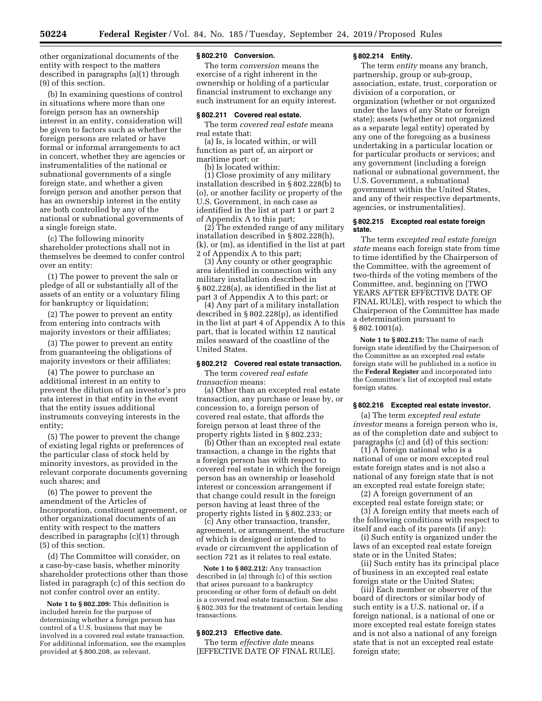other organizational documents of the entity with respect to the matters described in paragraphs (a)(1) through (9) of this section.

(b) In examining questions of control in situations where more than one foreign person has an ownership interest in an entity, consideration will be given to factors such as whether the foreign persons are related or have formal or informal arrangements to act in concert, whether they are agencies or instrumentalities of the national or subnational governments of a single foreign state, and whether a given foreign person and another person that has an ownership interest in the entity are both controlled by any of the national or subnational governments of a single foreign state.

(c) The following minority shareholder protections shall not in themselves be deemed to confer control over an entity:

(1) The power to prevent the sale or pledge of all or substantially all of the assets of an entity or a voluntary filing for bankruptcy or liquidation;

(2) The power to prevent an entity from entering into contracts with majority investors or their affiliates;

(3) The power to prevent an entity from guaranteeing the obligations of majority investors or their affiliates;

(4) The power to purchase an additional interest in an entity to prevent the dilution of an investor's pro rata interest in that entity in the event that the entity issues additional instruments conveying interests in the entity;

(5) The power to prevent the change of existing legal rights or preferences of the particular class of stock held by minority investors, as provided in the relevant corporate documents governing such shares; and

(6) The power to prevent the amendment of the Articles of Incorporation, constituent agreement, or other organizational documents of an entity with respect to the matters described in paragraphs (c)(1) through (5) of this section.

(d) The Committee will consider, on a case-by-case basis, whether minority shareholder protections other than those listed in paragraph (c) of this section do not confer control over an entity.

**Note 1 to § 802.209:** This definition is included herein for the purpose of determining whether a foreign person has control of a U.S. business that may be involved in a covered real estate transaction. For additional information, see the examples provided at § 800.208, as relevant.

#### **§ 802.210 Conversion.**

The term *conversion* means the exercise of a right inherent in the ownership or holding of a particular financial instrument to exchange any such instrument for an equity interest.

## **§ 802.211 Covered real estate.**

The term *covered real estate* means real estate that:

(a) Is, is located within, or will function as part of, an airport or maritime port; or

(b) Is located within:

(1) Close proximity of any military installation described in § 802.228(b) to (o), or another facility or property of the U.S. Government, in each case as identified in the list at part 1 or part 2 of Appendix A to this part;

(2) The extended range of any military installation described in § 802.228(h), (k), or (m), as identified in the list at part 2 of Appendix A to this part;

(3) Any county or other geographic area identified in connection with any military installation described in § 802.228(a), as identified in the list at part 3 of Appendix A to this part; or

(4) Any part of a military installation described in § 802.228(p), as identified in the list at part 4 of Appendix A to this part, that is located within 12 nautical miles seaward of the coastline of the United States.

## **§ 802.212 Covered real estate transaction.**

The term *covered real estate transaction* means:

(a) Other than an excepted real estate transaction, any purchase or lease by, or concession to, a foreign person of covered real estate, that affords the foreign person at least three of the property rights listed in § 802.233;

(b) Other than an excepted real estate transaction, a change in the rights that a foreign person has with respect to covered real estate in which the foreign person has an ownership or leasehold interest or concession arrangement if that change could result in the foreign person having at least three of the property rights listed in § 802.233; or

(c) Any other transaction, transfer, agreement, or arrangement, the structure of which is designed or intended to evade or circumvent the application of section 721 as it relates to real estate.

**Note 1 to § 802.212:** Any transaction described in (a) through (c) of this section that arises pursuant to a bankruptcy proceeding or other form of default on debt is a covered real estate transaction. See also § 802.303 for the treatment of certain lending transactions.

# **§ 802.213 Effective date.**

The term *effective date* means [EFFECTIVE DATE OF FINAL RULE].

# **§ 802.214 Entity.**

The term *entity* means any branch, partnership, group or sub-group, association, estate, trust, corporation or division of a corporation, or organization (whether or not organized under the laws of any State or foreign state); assets (whether or not organized as a separate legal entity) operated by any one of the foregoing as a business undertaking in a particular location or for particular products or services; and any government (including a foreign national or subnational government, the U.S. Government, a subnational government within the United States, and any of their respective departments, agencies, or instrumentalities).

## **§ 802.215 Excepted real estate foreign state.**

The term *excepted real estate foreign state* means each foreign state from time to time identified by the Chairperson of the Committee, with the agreement of two-thirds of the voting members of the Committee, and, beginning on [TWO YEARS AFTER EFFECTIVE DATE OF FINAL RULE], with respect to which the Chairperson of the Committee has made a determination pursuant to § 802.1001(a).

**Note 1 to § 802.215:** The name of each foreign state identified by the Chairperson of the Committee as an excepted real estate foreign state will be published in a notice in the **Federal Register** and incorporated into the Committee's list of excepted real estate foreign states.

### **§ 802.216 Excepted real estate investor.**

(a) The term *excepted real estate investor* means a foreign person who is, as of the completion date and subject to paragraphs (c) and (d) of this section:

(1) A foreign national who is a national of one or more excepted real estate foreign states and is not also a national of any foreign state that is not an excepted real estate foreign state;

(2) A foreign government of an excepted real estate foreign state; or

(3) A foreign entity that meets each of the following conditions with respect to itself and each of its parents (if any):

(i) Such entity is organized under the laws of an excepted real estate foreign state or in the United States;

(ii) Such entity has its principal place of business in an excepted real estate foreign state or the United States;

(iii) Each member or observer of the board of directors or similar body of such entity is a U.S. national or, if a foreign national, is a national of one or more excepted real estate foreign states and is not also a national of any foreign state that is not an excepted real estate foreign state;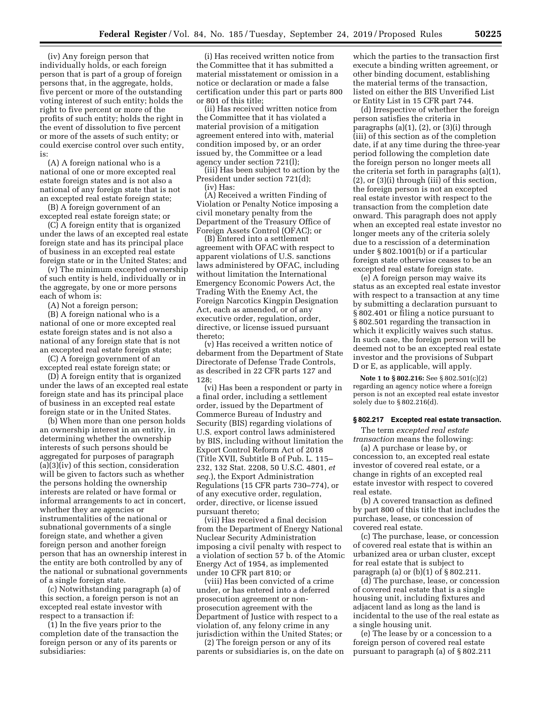(iv) Any foreign person that individually holds, or each foreign person that is part of a group of foreign persons that, in the aggregate, holds, five percent or more of the outstanding voting interest of such entity; holds the right to five percent or more of the profits of such entity; holds the right in the event of dissolution to five percent or more of the assets of such entity; or could exercise control over such entity, is:

(A) A foreign national who is a national of one or more excepted real estate foreign states and is not also a national of any foreign state that is not an excepted real estate foreign state;

(B) A foreign government of an excepted real estate foreign state; or

(C) A foreign entity that is organized under the laws of an excepted real estate foreign state and has its principal place of business in an excepted real estate foreign state or in the United States; and

(v) The minimum excepted ownership of such entity is held, individually or in the aggregate, by one or more persons each of whom is:

(A) Not a foreign person;

(B) A foreign national who is a national of one or more excepted real estate foreign states and is not also a national of any foreign state that is not an excepted real estate foreign state;

(C) A foreign government of an excepted real estate foreign state; or

(D) A foreign entity that is organized under the laws of an excepted real estate foreign state and has its principal place of business in an excepted real estate foreign state or in the United States.

(b) When more than one person holds an ownership interest in an entity, in determining whether the ownership interests of such persons should be aggregated for purposes of paragraph (a)(3)(iv) of this section, consideration will be given to factors such as whether the persons holding the ownership interests are related or have formal or informal arrangements to act in concert, whether they are agencies or instrumentalities of the national or subnational governments of a single foreign state, and whether a given foreign person and another foreign person that has an ownership interest in the entity are both controlled by any of the national or subnational governments of a single foreign state.

(c) Notwithstanding paragraph (a) of this section, a foreign person is not an excepted real estate investor with respect to a transaction if:

(1) In the five years prior to the completion date of the transaction the foreign person or any of its parents or subsidiaries:

(i) Has received written notice from the Committee that it has submitted a material misstatement or omission in a notice or declaration or made a false certification under this part or parts 800 or 801 of this title;

(ii) Has received written notice from the Committee that it has violated a material provision of a mitigation agreement entered into with, material condition imposed by, or an order issued by, the Committee or a lead agency under section 721(l);

(iii) Has been subject to action by the President under section 721(d); (iv) Has:

(A) Received a written Finding of Violation or Penalty Notice imposing a civil monetary penalty from the Department of the Treasury Office of Foreign Assets Control (OFAC); or

(B) Entered into a settlement agreement with OFAC with respect to apparent violations of U.S. sanctions laws administered by OFAC, including without limitation the International Emergency Economic Powers Act, the Trading With the Enemy Act, the Foreign Narcotics Kingpin Designation Act, each as amended, or of any executive order, regulation, order, directive, or license issued pursuant thereto;

(v) Has received a written notice of debarment from the Department of State Directorate of Defense Trade Controls, as described in 22 CFR parts 127 and 128;

(vi) Has been a respondent or party in a final order, including a settlement order, issued by the Department of Commerce Bureau of Industry and Security (BIS) regarding violations of U.S. export control laws administered by BIS, including without limitation the Export Control Reform Act of 2018 (Title XVII, Subtitle B of Pub. L. 115– 232, 132 Stat. 2208, 50 U.S.C. 4801, *et seq.*), the Export Administration Regulations (15 CFR parts 730–774), or of any executive order, regulation, order, directive, or license issued pursuant thereto;

(vii) Has received a final decision from the Department of Energy National Nuclear Security Administration imposing a civil penalty with respect to a violation of section 57 b. of the Atomic Energy Act of 1954, as implemented under 10 CFR part 810; or

(viii) Has been convicted of a crime under, or has entered into a deferred prosecution agreement or nonprosecution agreement with the Department of Justice with respect to a violation of, any felony crime in any jurisdiction within the United States; or

(2) The foreign person or any of its parents or subsidiaries is, on the date on

which the parties to the transaction first execute a binding written agreement, or other binding document, establishing the material terms of the transaction, listed on either the BIS Unverified List or Entity List in 15 CFR part 744.

(d) Irrespective of whether the foreign person satisfies the criteria in paragraphs (a)(1), (2), or (3)(i) through (iii) of this section as of the completion date, if at any time during the three-year period following the completion date the foreign person no longer meets all the criteria set forth in paragraphs (a)(1), (2), or (3)(i) through (iii) of this section, the foreign person is not an excepted real estate investor with respect to the transaction from the completion date onward. This paragraph does not apply when an excepted real estate investor no longer meets any of the criteria solely due to a rescission of a determination under § 802.1001(b) or if a particular foreign state otherwise ceases to be an excepted real estate foreign state.

(e) A foreign person may waive its status as an excepted real estate investor with respect to a transaction at any time by submitting a declaration pursuant to § 802.401 or filing a notice pursuant to § 802.501 regarding the transaction in which it explicitly waives such status. In such case, the foreign person will be deemed not to be an excepted real estate investor and the provisions of Subpart D or E, as applicable, will apply.

**Note 1 to § 802.216:** See § 802.501(c)(2) regarding an agency notice where a foreign person is not an excepted real estate investor solely due to § 802.216(d).

#### **§ 802.217 Excepted real estate transaction.**

The term *excepted real estate transaction* means the following:

(a) A purchase or lease by, or concession to, an excepted real estate investor of covered real estate, or a change in rights of an excepted real estate investor with respect to covered real estate.

(b) A covered transaction as defined by part 800 of this title that includes the purchase, lease, or concession of covered real estate.

(c) The purchase, lease, or concession of covered real estate that is within an urbanized area or urban cluster, except for real estate that is subject to paragraph (a) or (b)(1) of § 802.211.

(d) The purchase, lease, or concession of covered real estate that is a single housing unit, including fixtures and adjacent land as long as the land is incidental to the use of the real estate as a single housing unit.

(e) The lease by or a concession to a foreign person of covered real estate pursuant to paragraph (a) of § 802.211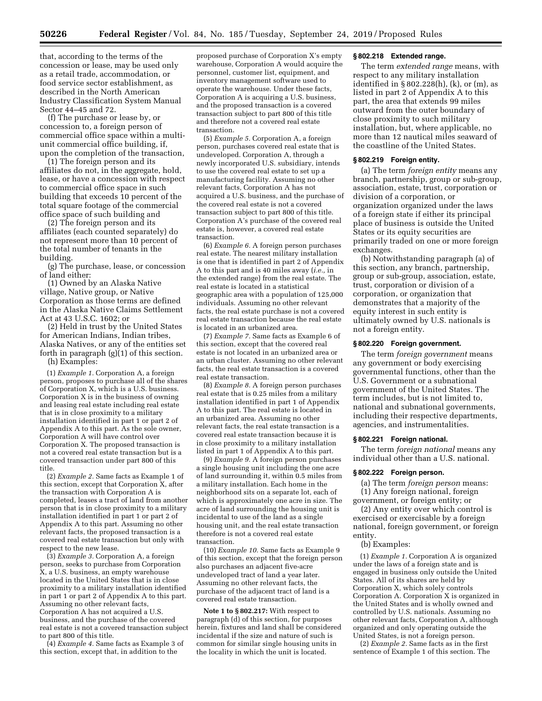that, according to the terms of the concession or lease, may be used only as a retail trade, accommodation, or food service sector establishment, as described in the North American Industry Classification System Manual Sector 44–45 and 72.

(f) The purchase or lease by, or concession to, a foreign person of commercial office space within a multiunit commercial office building, if, upon the completion of the transaction,

(1) The foreign person and its affiliates do not, in the aggregate, hold, lease, or have a concession with respect to commercial office space in such building that exceeds 10 percent of the total square footage of the commercial office space of such building and

(2) The foreign person and its affiliates (each counted separately) do not represent more than 10 percent of the total number of tenants in the building.

(g) The purchase, lease, or concession of land either:

(1) Owned by an Alaska Native village, Native group, or Native Corporation as those terms are defined in the Alaska Native Claims Settlement Act at 43 U.S.C. 1602; or

(2) Held in trust by the United States for American Indians, Indian tribes, Alaska Natives, or any of the entities set forth in paragraph (g)(1) of this section. (h) Examples:

(1) *Example 1.* Corporation A, a foreign person, proposes to purchase all of the shares of Corporation X, which is a U.S. business. Corporation X is in the business of owning and leasing real estate including real estate that is in close proximity to a military installation identified in part 1 or part 2 of Appendix A to this part. As the sole owner, Corporation A will have control over Corporation X. The proposed transaction is not a covered real estate transaction but is a covered transaction under part 800 of this title.

(2) *Example 2.* Same facts as Example 1 of this section, except that Corporation X, after the transaction with Corporation A is completed, leases a tract of land from another person that is in close proximity to a military installation identified in part 1 or part 2 of Appendix A to this part. Assuming no other relevant facts, the proposed transaction is a covered real estate transaction but only with respect to the new lease.

(3) *Example 3.* Corporation A, a foreign person, seeks to purchase from Corporation X, a U.S. business, an empty warehouse located in the United States that is in close proximity to a military installation identified in part 1 or part 2 of Appendix A to this part. Assuming no other relevant facts, Corporation A has not acquired a U.S. business, and the purchase of the covered real estate is not a covered transaction subject to part 800 of this title.

(4) *Example 4.* Same facts as Example 3 of this section, except that, in addition to the

proposed purchase of Corporation X's empty warehouse, Corporation A would acquire the personnel, customer list, equipment, and inventory management software used to operate the warehouse. Under these facts, Corporation A is acquiring a U.S. business, and the proposed transaction is a covered transaction subject to part 800 of this title and therefore not a covered real estate transaction.

(5) *Example 5.* Corporation A, a foreign person, purchases covered real estate that is undeveloped. Corporation A, through a newly incorporated U.S. subsidiary, intends to use the covered real estate to set up a manufacturing facility. Assuming no other relevant facts, Corporation A has not acquired a U.S. business, and the purchase of the covered real estate is not a covered transaction subject to part 800 of this title. Corporation A's purchase of the covered real estate is, however, a covered real estate transaction.

(6) *Example 6.* A foreign person purchases real estate. The nearest military installation is one that is identified in part 2 of Appendix A to this part and is 40 miles away (*i.e.,* in the extended range) from the real estate. The real estate is located in a statistical geographic area with a population of 125,000 individuals. Assuming no other relevant facts, the real estate purchase is not a covered real estate transaction because the real estate is located in an urbanized area.

(7) *Example 7.* Same facts as Example 6 of this section, except that the covered real estate is not located in an urbanized area or an urban cluster. Assuming no other relevant facts, the real estate transaction is a covered real estate transaction.

(8) *Example 8.* A foreign person purchases real estate that is 0.25 miles from a military installation identified in part 1 of Appendix A to this part. The real estate is located in an urbanized area. Assuming no other relevant facts, the real estate transaction is a covered real estate transaction because it is in close proximity to a military installation listed in part 1 of Appendix A to this part.

(9) *Example 9.* A foreign person purchases a single housing unit including the one acre of land surrounding it, within 0.5 miles from a military installation. Each home in the neighborhood sits on a separate lot, each of which is approximately one acre in size. The acre of land surrounding the housing unit is incidental to use of the land as a single housing unit, and the real estate transaction therefore is not a covered real estate transaction.

(10) *Example 10.* Same facts as Example 9 of this section, except that the foreign person also purchases an adjacent five-acre undeveloped tract of land a year later. Assuming no other relevant facts, the purchase of the adjacent tract of land is a covered real estate transaction.

**Note 1 to § 802.217:** With respect to paragraph (d) of this section, for purposes herein, fixtures and land shall be considered incidental if the size and nature of such is common for similar single housing units in the locality in which the unit is located.

# **§ 802.218 Extended range.**

The term *extended range* means, with respect to any military installation identified in § 802.228(h), (k), or (m), as listed in part 2 of Appendix A to this part, the area that extends 99 miles outward from the outer boundary of close proximity to such military installation, but, where applicable, no more than 12 nautical miles seaward of the coastline of the United States.

#### **§ 802.219 Foreign entity.**

(a) The term *foreign entity* means any branch, partnership, group or sub-group, association, estate, trust, corporation or division of a corporation, or organization organized under the laws of a foreign state if either its principal place of business is outside the United States or its equity securities are primarily traded on one or more foreign exchanges.

(b) Notwithstanding paragraph (a) of this section, any branch, partnership, group or sub-group, association, estate, trust, corporation or division of a corporation, or organization that demonstrates that a majority of the equity interest in such entity is ultimately owned by U.S. nationals is not a foreign entity.

## **§ 802.220 Foreign government.**

The term *foreign government* means any government or body exercising governmental functions, other than the U.S. Government or a subnational government of the United States. The term includes, but is not limited to, national and subnational governments, including their respective departments, agencies, and instrumentalities.

### **§ 802.221 Foreign national.**

The term *foreign national* means any individual other than a U.S. national.

#### **§ 802.222 Foreign person.**

(a) The term *foreign person* means: (1) Any foreign national, foreign

government, or foreign entity; or (2) Any entity over which control is exercised or exercisable by a foreign national, foreign government, or foreign entity.

## (b) Examples:

(1) *Example 1.* Corporation A is organized under the laws of a foreign state and is engaged in business only outside the United States. All of its shares are held by Corporation X, which solely controls Corporation A. Corporation X is organized in the United States and is wholly owned and controlled by U.S. nationals. Assuming no other relevant facts, Corporation A, although organized and only operating outside the United States, is not a foreign person.

(2) *Example 2.* Same facts as in the first sentence of Example 1 of this section. The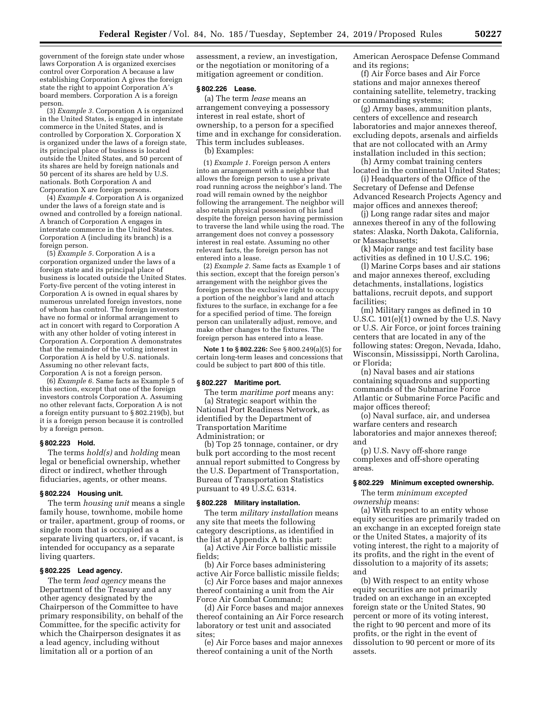government of the foreign state under whose laws Corporation A is organized exercises control over Corporation A because a law establishing Corporation A gives the foreign state the right to appoint Corporation A's board members. Corporation A is a foreign person.

(3) *Example 3.* Corporation A is organized in the United States, is engaged in interstate commerce in the United States, and is controlled by Corporation X. Corporation X is organized under the laws of a foreign state, its principal place of business is located outside the United States, and 50 percent of its shares are held by foreign nationals and 50 percent of its shares are held by U.S. nationals. Both Corporation A and Corporation X are foreign persons.

(4) *Example 4.* Corporation A is organized under the laws of a foreign state and is owned and controlled by a foreign national. A branch of Corporation A engages in interstate commerce in the United States. Corporation A (including its branch) is a foreign person.

(5) *Example 5.* Corporation A is a corporation organized under the laws of a foreign state and its principal place of business is located outside the United States. Forty-five percent of the voting interest in Corporation A is owned in equal shares by numerous unrelated foreign investors, none of whom has control. The foreign investors have no formal or informal arrangement to act in concert with regard to Corporation A with any other holder of voting interest in Corporation A. Corporation A demonstrates that the remainder of the voting interest in Corporation A is held by U.S. nationals. Assuming no other relevant facts, Corporation A is not a foreign person.

(6) *Example 6.* Same facts as Example 5 of this section, except that one of the foreign investors controls Corporation A. Assuming no other relevant facts, Corporation A is not a foreign entity pursuant to § 802.219(b), but it is a foreign person because it is controlled by a foreign person.

#### **§ 802.223 Hold.**

The terms *hold(s)* and *holding* mean legal or beneficial ownership, whether direct or indirect, whether through fiduciaries, agents, or other means.

### **§ 802.224 Housing unit.**

The term *housing unit* means a single family house, townhome, mobile home or trailer, apartment, group of rooms, or single room that is occupied as a separate living quarters, or, if vacant, is intended for occupancy as a separate living quarters.

#### **§ 802.225 Lead agency.**

The term *lead agency* means the Department of the Treasury and any other agency designated by the Chairperson of the Committee to have primary responsibility, on behalf of the Committee, for the specific activity for which the Chairperson designates it as a lead agency, including without limitation all or a portion of an

assessment, a review, an investigation, or the negotiation or monitoring of a mitigation agreement or condition.

## **§ 802.226 Lease.**

(a) The term *lease* means an arrangement conveying a possessory interest in real estate, short of ownership, to a person for a specified time and in exchange for consideration. This term includes subleases.

## (b) Examples:

(1) *Example 1.* Foreign person A enters into an arrangement with a neighbor that allows the foreign person to use a private road running across the neighbor's land. The road will remain owned by the neighbor following the arrangement. The neighbor will also retain physical possession of his land despite the foreign person having permission to traverse the land while using the road. The arrangement does not convey a possessory interest in real estate. Assuming no other relevant facts, the foreign person has not entered into a lease.

(2) *Example 2.* Same facts as Example 1 of this section, except that the foreign person's arrangement with the neighbor gives the foreign person the exclusive right to occupy a portion of the neighbor's land and attach fixtures to the surface, in exchange for a fee for a specified period of time. The foreign person can unilaterally adjust, remove, and make other changes to the fixtures. The foreign person has entered into a lease.

**Note 1 to § 802.226:** See § 800.249(a)(5) for certain long-term leases and concessions that could be subject to part 800 of this title.

### **§ 802.227 Maritime port.**

The term *maritime port* means any: (a) Strategic seaport within the National Port Readiness Network, as identified by the Department of Transportation Maritime Administration; or

(b) Top 25 tonnage, container, or dry bulk port according to the most recent annual report submitted to Congress by the U.S. Department of Transportation, Bureau of Transportation Statistics pursuant to 49 U.S.C. 6314.

#### **§ 802.228 Military installation.**

The term *military installation* means any site that meets the following category descriptions, as identified in the list at Appendix A to this part:

(a) Active Air Force ballistic missile fields;

(b) Air Force bases administering active Air Force ballistic missile fields;

(c) Air Force bases and major annexes thereof containing a unit from the Air Force Air Combat Command;

(d) Air Force bases and major annexes thereof containing an Air Force research laboratory or test unit and associated sites;

(e) Air Force bases and major annexes thereof containing a unit of the North

American Aerospace Defense Command and its regions;

(f) Air Force bases and Air Force stations and major annexes thereof containing satellite, telemetry, tracking or commanding systems;

(g) Army bases, ammunition plants, centers of excellence and research laboratories and major annexes thereof, excluding depots, arsenals and airfields that are not collocated with an Army installation included in this section;

(h) Army combat training centers located in the continental United States;

(i) Headquarters of the Office of the Secretary of Defense and Defense Advanced Research Projects Agency and major offices and annexes thereof;

(j) Long range radar sites and major annexes thereof in any of the following states: Alaska, North Dakota, California, or Massachusetts;

(k) Major range and test facility base activities as defined in 10 U.S.C. 196;

(l) Marine Corps bases and air stations and major annexes thereof, excluding detachments, installations, logistics battalions, recruit depots, and support facilities;

(m) Military ranges as defined in 10 U.S.C. 101(e)(1) owned by the U.S. Navy or U.S. Air Force, or joint forces training centers that are located in any of the following states: Oregon, Nevada, Idaho, Wisconsin, Mississippi, North Carolina, or Florida;

(n) Naval bases and air stations containing squadrons and supporting commands of the Submarine Force Atlantic or Submarine Force Pacific and major offices thereof;

(o) Naval surface, air, and undersea warfare centers and research laboratories and major annexes thereof; and

(p) U.S. Navy off-shore range complexes and off-shore operating areas.

#### **§ 802.229 Minimum excepted ownership.**

The term *minimum excepted ownership* means:

(a) With respect to an entity whose equity securities are primarily traded on an exchange in an excepted foreign state or the United States, a majority of its voting interest, the right to a majority of its profits, and the right in the event of dissolution to a majority of its assets; and

(b) With respect to an entity whose equity securities are not primarily traded on an exchange in an excepted foreign state or the United States, 90 percent or more of its voting interest, the right to 90 percent and more of its profits, or the right in the event of dissolution to 90 percent or more of its assets.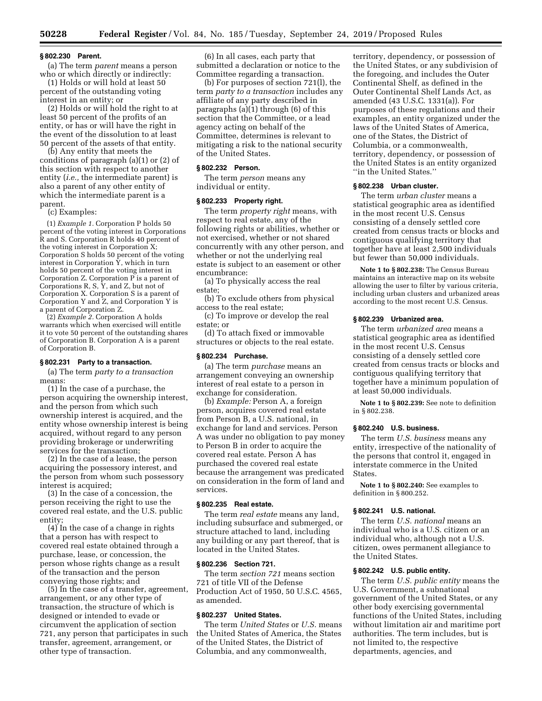#### **§ 802.230 Parent.**

(a) The term *parent* means a person who or which directly or indirectly:

(1) Holds or will hold at least 50 percent of the outstanding voting interest in an entity; or

(2) Holds or will hold the right to at least 50 percent of the profits of an entity, or has or will have the right in the event of the dissolution to at least 50 percent of the assets of that entity.

(b) Any entity that meets the conditions of paragraph (a)(1) or (2) of this section with respect to another entity (*i.e.,* the intermediate parent) is also a parent of any other entity of which the intermediate parent is a parent.

(c) Examples:

(1) *Example 1.* Corporation P holds 50 percent of the voting interest in Corporations R and S. Corporation R holds 40 percent of the voting interest in Corporation X; Corporation S holds 50 percent of the voting interest in Corporation  $\bar{Y}$ , which in turn holds 50 percent of the voting interest in Corporation Z. Corporation P is a parent of Corporations  $R$ ,  $S$ ,  $Y$ , and  $Z$ , but not of Corporation X. Corporation S is a parent of Corporation Y and Z, and Corporation Y is a parent of Corporation Z.

(2) *Example 2.* Corporation A holds warrants which when exercised will entitle it to vote 50 percent of the outstanding shares of Corporation B. Corporation A is a parent of Corporation B.

## **§ 802.231 Party to a transaction.**

(a) The term *party to a transaction*  means:

(1) In the case of a purchase, the person acquiring the ownership interest, and the person from which such ownership interest is acquired, and the entity whose ownership interest is being acquired, without regard to any person providing brokerage or underwriting services for the transaction;

(2) In the case of a lease, the person acquiring the possessory interest, and the person from whom such possessory interest is acquired;

(3) In the case of a concession, the person receiving the right to use the covered real estate, and the U.S. public entity;

(4) In the case of a change in rights that a person has with respect to covered real estate obtained through a purchase, lease, or concession, the person whose rights change as a result of the transaction and the person conveying those rights; and

(5) In the case of a transfer, agreement, arrangement, or any other type of transaction, the structure of which is designed or intended to evade or circumvent the application of section 721, any person that participates in such transfer, agreement, arrangement, or other type of transaction.

(6) In all cases, each party that submitted a declaration or notice to the Committee regarding a transaction.

(b) For purposes of section 721(l), the term *party to a transaction* includes any affiliate of any party described in paragraphs (a)(1) through (6) of this section that the Committee, or a lead agency acting on behalf of the Committee, determines is relevant to mitigating a risk to the national security of the United States.

#### **§ 802.232 Person.**

The term *person* means any individual or entity.

### **§ 802.233 Property right.**

The term *property right* means, with respect to real estate, any of the following rights or abilities, whether or not exercised, whether or not shared concurrently with any other person, and whether or not the underlying real estate is subject to an easement or other encumbrance:

(a) To physically access the real estate;

(b) To exclude others from physical access to the real estate;

(c) To improve or develop the real estate; or

(d) To attach fixed or immovable structures or objects to the real estate.

#### **§ 802.234 Purchase.**

(a) The term *purchase* means an arrangement conveying an ownership interest of real estate to a person in exchange for consideration.

(b) *Example:* Person A, a foreign person, acquires covered real estate from Person B, a U.S. national, in exchange for land and services. Person A was under no obligation to pay money to Person B in order to acquire the covered real estate. Person A has purchased the covered real estate because the arrangement was predicated on consideration in the form of land and services.

#### **§ 802.235 Real estate.**

The term *real estate* means any land, including subsurface and submerged, or structure attached to land, including any building or any part thereof, that is located in the United States.

### **§ 802.236 Section 721.**

The term *section 721* means section 721 of title VII of the Defense Production Act of 1950, 50 U.S.C. 4565, as amended.

## **§ 802.237 United States.**

The term *United States* or *U.S.* means the United States of America, the States of the United States, the District of Columbia, and any commonwealth,

territory, dependency, or possession of the United States, or any subdivision of the foregoing, and includes the Outer Continental Shelf, as defined in the Outer Continental Shelf Lands Act, as amended (43 U.S.C. 1331(a)). For purposes of these regulations and their examples, an entity organized under the laws of the United States of America, one of the States, the District of Columbia, or a commonwealth, territory, dependency, or possession of the United States is an entity organized ''in the United States.''

#### **§ 802.238 Urban cluster.**

The term *urban cluster* means a statistical geographic area as identified in the most recent U.S. Census consisting of a densely settled core created from census tracts or blocks and contiguous qualifying territory that together have at least 2,500 individuals but fewer than 50,000 individuals.

**Note 1 to § 802.238:** The Census Bureau maintains an interactive map on its website allowing the user to filter by various criteria, including urban clusters and urbanized areas according to the most recent U.S. Census.

## **§ 802.239 Urbanized area.**

The term *urbanized area* means a statistical geographic area as identified in the most recent U.S. Census consisting of a densely settled core created from census tracts or blocks and contiguous qualifying territory that together have a minimum population of at least 50,000 individuals.

**Note 1 to § 802.239:** See note to definition in § 802.238.

# **§ 802.240 U.S. business.**

The term *U.S. business* means any entity, irrespective of the nationality of the persons that control it, engaged in interstate commerce in the United States.

**Note 1 to § 802.240:** See examples to definition in § 800.252.

## **§ 802.241 U.S. national.**

The term *U.S. national* means an individual who is a U.S. citizen or an individual who, although not a U.S. citizen, owes permanent allegiance to the United States.

## **§ 802.242 U.S. public entity.**

The term *U.S. public entity* means the U.S. Government, a subnational government of the United States, or any other body exercising governmental functions of the United States, including without limitation air and maritime port authorities. The term includes, but is not limited to, the respective departments, agencies, and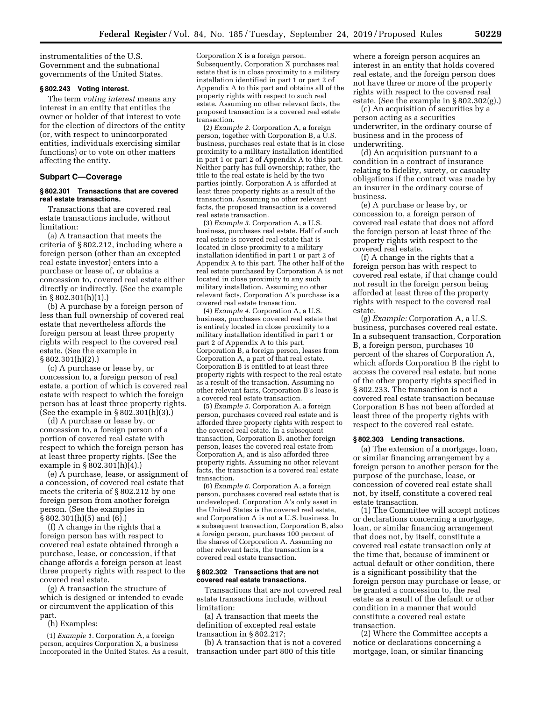instrumentalities of the U.S. Government and the subnational governments of the United States.

## **§ 802.243 Voting interest.**

The term *voting interest* means any interest in an entity that entitles the owner or holder of that interest to vote for the election of directors of the entity (or, with respect to unincorporated entities, individuals exercising similar functions) or to vote on other matters affecting the entity.

### **Subpart C—Coverage**

## **§ 802.301 Transactions that are covered real estate transactions.**

Transactions that are covered real estate transactions include, without limitation:

(a) A transaction that meets the criteria of § 802.212, including where a foreign person (other than an excepted real estate investor) enters into a purchase or lease of, or obtains a concession to, covered real estate either directly or indirectly. (See the example in § 802.301(h)(1).)

(b) A purchase by a foreign person of less than full ownership of covered real estate that nevertheless affords the foreign person at least three property rights with respect to the covered real estate. (See the example in § 802.301(h)(2).)

(c) A purchase or lease by, or concession to, a foreign person of real estate, a portion of which is covered real estate with respect to which the foreign person has at least three property rights. (See the example in § 802.301(h)(3).)

(d) A purchase or lease by, or concession to, a foreign person of a portion of covered real estate with respect to which the foreign person has at least three property rights. (See the example in § 802.301(h)(4).)

(e) A purchase, lease, or assignment of a concession, of covered real estate that meets the criteria of § 802.212 by one foreign person from another foreign person. (See the examples in § 802.301(h)(5) and (6).)

(f) A change in the rights that a foreign person has with respect to covered real estate obtained through a purchase, lease, or concession, if that change affords a foreign person at least three property rights with respect to the covered real estate.

(g) A transaction the structure of which is designed or intended to evade or circumvent the application of this part.

## (h) Examples:

(1) *Example 1.* Corporation A, a foreign person, acquires Corporation X, a business incorporated in the United States. As a result, Corporation X is a foreign person. Subsequently, Corporation X purchases real estate that is in close proximity to a military installation identified in part 1 or part 2 of Appendix A to this part and obtains all of the property rights with respect to such real estate. Assuming no other relevant facts, the proposed transaction is a covered real estate transaction.

(2) *Example 2.* Corporation A, a foreign person, together with Corporation B, a  $\tilde{U}$ .S. business, purchases real estate that is in close proximity to a military installation identified in part 1 or part 2 of Appendix A to this part. Neither party has full ownership; rather, the title to the real estate is held by the two parties jointly. Corporation A is afforded at least three property rights as a result of the transaction. Assuming no other relevant facts, the proposed transaction is a covered real estate transaction.

(3) *Example 3.* Corporation A, a U.S. business, purchases real estate. Half of such real estate is covered real estate that is located in close proximity to a military installation identified in part 1 or part 2 of Appendix A to this part. The other half of the real estate purchased by Corporation A is not located in close proximity to any such military installation. Assuming no other relevant facts, Corporation A's purchase is a covered real estate transaction.

(4) *Example 4.* Corporation A, a U.S. business, purchases covered real estate that is entirely located in close proximity to a military installation identified in part 1 or part 2 of Appendix A to this part. Corporation B, a foreign person, leases from Corporation A, a part of that real estate. Corporation B is entitled to at least three property rights with respect to the real estate as a result of the transaction. Assuming no other relevant facts, Corporation B's lease is a covered real estate transaction.

(5) *Example 5.* Corporation A, a foreign person, purchases covered real estate and is afforded three property rights with respect to the covered real estate. In a subsequent transaction, Corporation B, another foreign person, leases the covered real estate from Corporation A, and is also afforded three property rights. Assuming no other relevant facts, the transaction is a covered real estate transaction.

(6) *Example 6.* Corporation A, a foreign person, purchases covered real estate that is undeveloped. Corporation A's only asset in the United States is the covered real estate, and Corporation A is not a U.S. business. In a subsequent transaction, Corporation B, also a foreign person, purchases 100 percent of the shares of Corporation A. Assuming no other relevant facts, the transaction is a covered real estate transaction.

### **§ 802.302 Transactions that are not covered real estate transactions.**

Transactions that are not covered real estate transactions include, without limitation:

(a) A transaction that meets the definition of excepted real estate transaction in § 802.217;

(b) A transaction that is not a covered transaction under part 800 of this title

where a foreign person acquires an interest in an entity that holds covered real estate, and the foreign person does not have three or more of the property rights with respect to the covered real estate. (See the example in § 802.302(g).)

(c) An acquisition of securities by a person acting as a securities underwriter, in the ordinary course of business and in the process of underwriting.

(d) An acquisition pursuant to a condition in a contract of insurance relating to fidelity, surety, or casualty obligations if the contract was made by an insurer in the ordinary course of business.

(e) A purchase or lease by, or concession to, a foreign person of covered real estate that does not afford the foreign person at least three of the property rights with respect to the covered real estate.

(f) A change in the rights that a foreign person has with respect to covered real estate, if that change could not result in the foreign person being afforded at least three of the property rights with respect to the covered real estate.

(g) *Example:* Corporation A, a U.S. business, purchases covered real estate. In a subsequent transaction, Corporation B, a foreign person, purchases 10 percent of the shares of Corporation A, which affords Corporation B the right to access the covered real estate, but none of the other property rights specified in § 802.233. The transaction is not a covered real estate transaction because Corporation B has not been afforded at least three of the property rights with respect to the covered real estate.

#### **§ 802.303 Lending transactions.**

(a) The extension of a mortgage, loan, or similar financing arrangement by a foreign person to another person for the purpose of the purchase, lease, or concession of covered real estate shall not, by itself, constitute a covered real estate transaction.

(1) The Committee will accept notices or declarations concerning a mortgage, loan, or similar financing arrangement that does not, by itself, constitute a covered real estate transaction only at the time that, because of imminent or actual default or other condition, there is a significant possibility that the foreign person may purchase or lease, or be granted a concession to, the real estate as a result of the default or other condition in a manner that would constitute a covered real estate transaction.

(2) Where the Committee accepts a notice or declarations concerning a mortgage, loan, or similar financing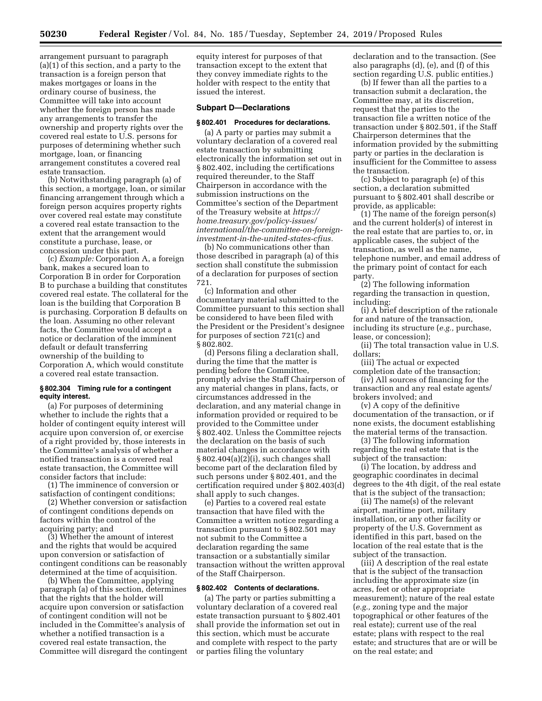arrangement pursuant to paragraph (a)(1) of this section, and a party to the transaction is a foreign person that makes mortgages or loans in the ordinary course of business, the Committee will take into account whether the foreign person has made any arrangements to transfer the ownership and property rights over the covered real estate to U.S. persons for purposes of determining whether such mortgage, loan, or financing arrangement constitutes a covered real estate transaction.

(b) Notwithstanding paragraph (a) of this section, a mortgage, loan, or similar financing arrangement through which a foreign person acquires property rights over covered real estate may constitute a covered real estate transaction to the extent that the arrangement would constitute a purchase, lease, or concession under this part.

(c) *Example:* Corporation A, a foreign bank, makes a secured loan to Corporation B in order for Corporation B to purchase a building that constitutes covered real estate. The collateral for the loan is the building that Corporation B is purchasing. Corporation B defaults on the loan. Assuming no other relevant facts, the Committee would accept a notice or declaration of the imminent default or default transferring ownership of the building to Corporation A, which would constitute a covered real estate transaction.

## **§ 802.304 Timing rule for a contingent equity interest.**

(a) For purposes of determining whether to include the rights that a holder of contingent equity interest will acquire upon conversion of, or exercise of a right provided by, those interests in the Committee's analysis of whether a notified transaction is a covered real estate transaction, the Committee will consider factors that include:

(1) The imminence of conversion or satisfaction of contingent conditions;

(2) Whether conversion or satisfaction of contingent conditions depends on factors within the control of the acquiring party; and

(3) Whether the amount of interest and the rights that would be acquired upon conversion or satisfaction of contingent conditions can be reasonably determined at the time of acquisition.

(b) When the Committee, applying paragraph (a) of this section, determines that the rights that the holder will acquire upon conversion or satisfaction of contingent condition will not be included in the Committee's analysis of whether a notified transaction is a covered real estate transaction, the Committee will disregard the contingent equity interest for purposes of that transaction except to the extent that they convey immediate rights to the holder with respect to the entity that issued the interest.

# **Subpart D—Declarations**

### **§ 802.401 Procedures for declarations.**

(a) A party or parties may submit a voluntary declaration of a covered real estate transaction by submitting electronically the information set out in § 802.402, including the certifications required thereunder, to the Staff Chairperson in accordance with the submission instructions on the Committee's section of the Department of the Treasury website at *[https://](https://home.treasury.gov/policy-issues/international/the-committee-on-foreign-investment-in-the-united-states-cfius) [home.treasury.gov/policy-issues/](https://home.treasury.gov/policy-issues/international/the-committee-on-foreign-investment-in-the-united-states-cfius) [international/the-committee-on-foreign](https://home.treasury.gov/policy-issues/international/the-committee-on-foreign-investment-in-the-united-states-cfius)[investment-in-the-united-states-cfius.](https://home.treasury.gov/policy-issues/international/the-committee-on-foreign-investment-in-the-united-states-cfius)* 

(b) No communications other than those described in paragraph (a) of this section shall constitute the submission of a declaration for purposes of section 721.

(c) Information and other documentary material submitted to the Committee pursuant to this section shall be considered to have been filed with the President or the President's designee for purposes of section 721(c) and § 802.802.

(d) Persons filing a declaration shall, during the time that the matter is pending before the Committee, promptly advise the Staff Chairperson of any material changes in plans, facts, or circumstances addressed in the declaration, and any material change in information provided or required to be provided to the Committee under § 802.402. Unless the Committee rejects the declaration on the basis of such material changes in accordance with § 802.404(a)(2)(i), such changes shall become part of the declaration filed by such persons under § 802.401, and the certification required under § 802.403(d) shall apply to such changes.

(e) Parties to a covered real estate transaction that have filed with the Committee a written notice regarding a transaction pursuant to § 802.501 may not submit to the Committee a declaration regarding the same transaction or a substantially similar transaction without the written approval of the Staff Chairperson.

## **§ 802.402 Contents of declarations.**

(a) The party or parties submitting a voluntary declaration of a covered real estate transaction pursuant to § 802.401 shall provide the information set out in this section, which must be accurate and complete with respect to the party or parties filing the voluntary

declaration and to the transaction. (See also paragraphs (d), (e), and (f) of this section regarding U.S. public entities.)

(b) If fewer than all the parties to a transaction submit a declaration, the Committee may, at its discretion, request that the parties to the transaction file a written notice of the transaction under § 802.501, if the Staff Chairperson determines that the information provided by the submitting party or parties in the declaration is insufficient for the Committee to assess the transaction.

(c) Subject to paragraph (e) of this section, a declaration submitted pursuant to § 802.401 shall describe or provide, as applicable:

(1) The name of the foreign person(s) and the current holder(s) of interest in the real estate that are parties to, or, in applicable cases, the subject of the transaction, as well as the name, telephone number, and email address of the primary point of contact for each party.

(2) The following information regarding the transaction in question, including:

(i) A brief description of the rationale for and nature of the transaction, including its structure (*e.g.,* purchase, lease, or concession);

(ii) The total transaction value in U.S. dollars;

(iii) The actual or expected completion date of the transaction;

(iv) All sources of financing for the transaction and any real estate agents/ brokers involved; and

(v) A copy of the definitive documentation of the transaction, or if none exists, the document establishing the material terms of the transaction.

(3) The following information regarding the real estate that is the subject of the transaction:

(i) The location, by address and geographic coordinates in decimal degrees to the 4th digit, of the real estate that is the subject of the transaction;

(ii) The name(s) of the relevant airport, maritime port, military installation, or any other facility or property of the U.S. Government as identified in this part, based on the location of the real estate that is the subject of the transaction.

(iii) A description of the real estate that is the subject of the transaction including the approximate size (in acres, feet or other appropriate measurement); nature of the real estate (*e.g.,* zoning type and the major topographical or other features of the real estate); current use of the real estate; plans with respect to the real estate; and structures that are or will be on the real estate; and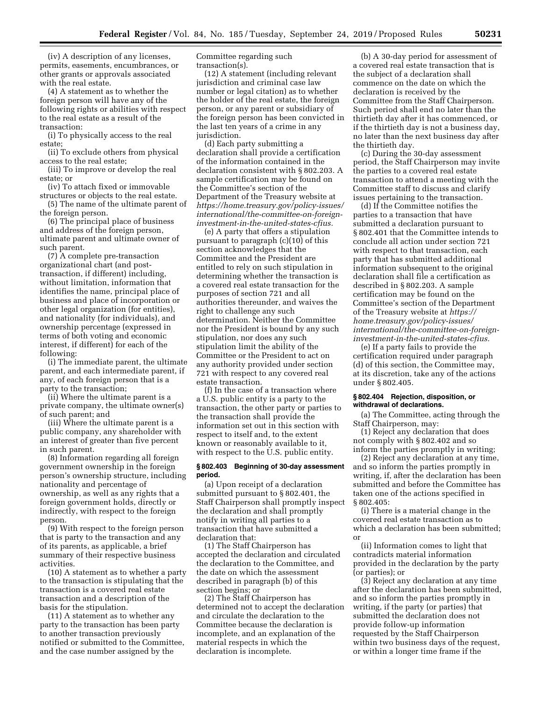(iv) A description of any licenses, permits, easements, encumbrances, or other grants or approvals associated with the real estate.

(4) A statement as to whether the foreign person will have any of the following rights or abilities with respect to the real estate as a result of the transaction:

(i) To physically access to the real estate;

(ii) To exclude others from physical access to the real estate;

(iii) To improve or develop the real estate; or

(iv) To attach fixed or immovable structures or objects to the real estate.

(5) The name of the ultimate parent of the foreign person.

(6) The principal place of business and address of the foreign person, ultimate parent and ultimate owner of such parent.

(7) A complete pre-transaction organizational chart (and posttransaction, if different) including, without limitation, information that identifies the name, principal place of business and place of incorporation or other legal organization (for entities), and nationality (for individuals), and ownership percentage (expressed in terms of both voting and economic interest, if different) for each of the following:

(i) The immediate parent, the ultimate parent, and each intermediate parent, if any, of each foreign person that is a party to the transaction;

(ii) Where the ultimate parent is a private company, the ultimate owner(s) of such parent; and

(iii) Where the ultimate parent is a public company, any shareholder with an interest of greater than five percent in such parent.

(8) Information regarding all foreign government ownership in the foreign person's ownership structure, including nationality and percentage of ownership, as well as any rights that a foreign government holds, directly or indirectly, with respect to the foreign person.

(9) With respect to the foreign person that is party to the transaction and any of its parents, as applicable, a brief summary of their respective business activities.

(10) A statement as to whether a party to the transaction is stipulating that the transaction is a covered real estate transaction and a description of the basis for the stipulation.

(11) A statement as to whether any party to the transaction has been party to another transaction previously notified or submitted to the Committee, and the case number assigned by the

Committee regarding such transaction(s).

(12) A statement (including relevant jurisdiction and criminal case law number or legal citation) as to whether the holder of the real estate, the foreign person, or any parent or subsidiary of the foreign person has been convicted in the last ten years of a crime in any jurisdiction.

(d) Each party submitting a declaration shall provide a certification of the information contained in the declaration consistent with § 802.203. A sample certification may be found on the Committee's section of the Department of the Treasury website at *[https://home.treasury.gov/policy-issues/](https://home.treasury.gov/policy-issues/international/the-committee-on-foreign-investment-in-the-united-states-cfius)  [international/the-committee-on-foreign](https://home.treasury.gov/policy-issues/international/the-committee-on-foreign-investment-in-the-united-states-cfius)[investment-in-the-united-states-cfius.](https://home.treasury.gov/policy-issues/international/the-committee-on-foreign-investment-in-the-united-states-cfius)* 

(e) A party that offers a stipulation pursuant to paragraph (c)(10) of this section acknowledges that the Committee and the President are entitled to rely on such stipulation in determining whether the transaction is a covered real estate transaction for the purposes of section 721 and all authorities thereunder, and waives the right to challenge any such determination. Neither the Committee nor the President is bound by any such stipulation, nor does any such stipulation limit the ability of the Committee or the President to act on any authority provided under section 721 with respect to any covered real estate transaction.

(f) In the case of a transaction where a U.S. public entity is a party to the transaction, the other party or parties to the transaction shall provide the information set out in this section with respect to itself and, to the extent known or reasonably available to it, with respect to the U.S. public entity.

## **§ 802.403 Beginning of 30-day assessment period.**

(a) Upon receipt of a declaration submitted pursuant to § 802.401, the Staff Chairperson shall promptly inspect the declaration and shall promptly notify in writing all parties to a transaction that have submitted a declaration that:

(1) The Staff Chairperson has accepted the declaration and circulated the declaration to the Committee, and the date on which the assessment described in paragraph (b) of this section begins; or

(2) The Staff Chairperson has determined not to accept the declaration and circulate the declaration to the Committee because the declaration is incomplete, and an explanation of the material respects in which the declaration is incomplete.

(b) A 30-day period for assessment of a covered real estate transaction that is the subject of a declaration shall commence on the date on which the declaration is received by the Committee from the Staff Chairperson. Such period shall end no later than the thirtieth day after it has commenced, or if the thirtieth day is not a business day, no later than the next business day after the thirtieth day.

(c) During the 30-day assessment period, the Staff Chairperson may invite the parties to a covered real estate transaction to attend a meeting with the Committee staff to discuss and clarify issues pertaining to the transaction.

(d) If the Committee notifies the parties to a transaction that have submitted a declaration pursuant to § 802.401 that the Committee intends to conclude all action under section 721 with respect to that transaction, each party that has submitted additional information subsequent to the original declaration shall file a certification as described in § 802.203. A sample certification may be found on the Committee's section of the Department of the Treasury website at *[https://](https://home.treasury.gov/policy-issues/international/the-committee-on-foreign-investment-in-the-united-states-cfius) [home.treasury.gov/policy-issues/](https://home.treasury.gov/policy-issues/international/the-committee-on-foreign-investment-in-the-united-states-cfius) [international/the-committee-on-foreign](https://home.treasury.gov/policy-issues/international/the-committee-on-foreign-investment-in-the-united-states-cfius)[investment-in-the-united-states-cfius.](https://home.treasury.gov/policy-issues/international/the-committee-on-foreign-investment-in-the-united-states-cfius)* 

(e) If a party fails to provide the certification required under paragraph (d) of this section, the Committee may, at its discretion, take any of the actions under § 802.405.

## **§ 802.404 Rejection, disposition, or withdrawal of declarations.**

(a) The Committee, acting through the Staff Chairperson, may:

(1) Reject any declaration that does not comply with § 802.402 and so inform the parties promptly in writing;

(2) Reject any declaration at any time, and so inform the parties promptly in writing, if, after the declaration has been submitted and before the Committee has taken one of the actions specified in § 802.405:

(i) There is a material change in the covered real estate transaction as to which a declaration has been submitted; or

(ii) Information comes to light that contradicts material information provided in the declaration by the party (or parties); or

(3) Reject any declaration at any time after the declaration has been submitted, and so inform the parties promptly in writing, if the party (or parties) that submitted the declaration does not provide follow-up information requested by the Staff Chairperson within two business days of the request, or within a longer time frame if the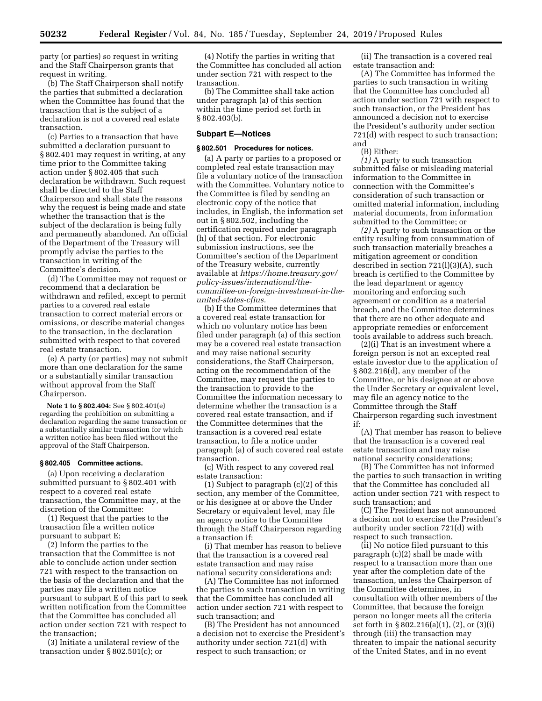party (or parties) so request in writing and the Staff Chairperson grants that request in writing.

(b) The Staff Chairperson shall notify the parties that submitted a declaration when the Committee has found that the transaction that is the subject of a declaration is not a covered real estate transaction.

(c) Parties to a transaction that have submitted a declaration pursuant to § 802.401 may request in writing, at any time prior to the Committee taking action under § 802.405 that such declaration be withdrawn. Such request shall be directed to the Staff Chairperson and shall state the reasons why the request is being made and state whether the transaction that is the subject of the declaration is being fully and permanently abandoned. An official of the Department of the Treasury will promptly advise the parties to the transaction in writing of the Committee's decision.

(d) The Committee may not request or recommend that a declaration be withdrawn and refiled, except to permit parties to a covered real estate transaction to correct material errors or omissions, or describe material changes to the transaction, in the declaration submitted with respect to that covered real estate transaction.

(e) A party (or parties) may not submit more than one declaration for the same or a substantially similar transaction without approval from the Staff Chairperson.

**Note 1 to § 802.404:** See § 802.401(e) regarding the prohibition on submitting a declaration regarding the same transaction or a substantially similar transaction for which a written notice has been filed without the approval of the Staff Chairperson.

# **§ 802.405 Committee actions.**

(a) Upon receiving a declaration submitted pursuant to § 802.401 with respect to a covered real estate transaction, the Committee may, at the discretion of the Committee:

(1) Request that the parties to the transaction file a written notice pursuant to subpart E;

(2) Inform the parties to the transaction that the Committee is not able to conclude action under section 721 with respect to the transaction on the basis of the declaration and that the parties may file a written notice pursuant to subpart E of this part to seek written notification from the Committee that the Committee has concluded all action under section 721 with respect to the transaction;

(3) Initiate a unilateral review of the transaction under § 802.501(c); or

(4) Notify the parties in writing that the Committee has concluded all action under section 721 with respect to the transaction.

(b) The Committee shall take action under paragraph (a) of this section within the time period set forth in § 802.403(b).

## **Subpart E—Notices**

#### **§ 802.501 Procedures for notices.**

(a) A party or parties to a proposed or completed real estate transaction may file a voluntary notice of the transaction with the Committee. Voluntary notice to the Committee is filed by sending an electronic copy of the notice that includes, in English, the information set out in § 802.502, including the certification required under paragraph (h) of that section. For electronic submission instructions, see the Committee's section of the Department of the Treasury website, currently available at *[https://home.treasury.gov/](https://home.treasury.gov/policy-issues/international/the-committee-on-foreign-investment-in-the-united-states-cfius)  [policy-issues/international/the](https://home.treasury.gov/policy-issues/international/the-committee-on-foreign-investment-in-the-united-states-cfius)[committee-on-foreign-investment-in-the](https://home.treasury.gov/policy-issues/international/the-committee-on-foreign-investment-in-the-united-states-cfius)[united-states-cfius.](https://home.treasury.gov/policy-issues/international/the-committee-on-foreign-investment-in-the-united-states-cfius)* 

(b) If the Committee determines that a covered real estate transaction for which no voluntary notice has been filed under paragraph (a) of this section may be a covered real estate transaction and may raise national security considerations, the Staff Chairperson, acting on the recommendation of the Committee, may request the parties to the transaction to provide to the Committee the information necessary to determine whether the transaction is a covered real estate transaction, and if the Committee determines that the transaction is a covered real estate transaction, to file a notice under paragraph (a) of such covered real estate transaction.

(c) With respect to any covered real estate transaction:

(1) Subject to paragraph (c)(2) of this section, any member of the Committee, or his designee at or above the Under Secretary or equivalent level, may file an agency notice to the Committee through the Staff Chairperson regarding a transaction if:

(i) That member has reason to believe that the transaction is a covered real estate transaction and may raise national security considerations and:

(A) The Committee has not informed the parties to such transaction in writing that the Committee has concluded all action under section 721 with respect to such transaction; and

(B) The President has not announced a decision not to exercise the President's authority under section 721(d) with respect to such transaction; or

(ii) The transaction is a covered real estate transaction and:

(A) The Committee has informed the parties to such transaction in writing that the Committee has concluded all action under section 721 with respect to such transaction, or the President has announced a decision not to exercise the President's authority under section 721(d) with respect to such transaction; and

(B) Either:

*(1)* A party to such transaction submitted false or misleading material information to the Committee in connection with the Committee's consideration of such transaction or omitted material information, including material documents, from information submitted to the Committee; or

*(2)* A party to such transaction or the entity resulting from consummation of such transaction materially breaches a mitigation agreement or condition described in section 721(l)(3)(A), such breach is certified to the Committee by the lead department or agency monitoring and enforcing such agreement or condition as a material breach, and the Committee determines that there are no other adequate and appropriate remedies or enforcement tools available to address such breach.

(2)(i) That is an investment where a foreign person is not an excepted real estate investor due to the application of § 802.216(d), any member of the Committee, or his designee at or above the Under Secretary or equivalent level, may file an agency notice to the Committee through the Staff Chairperson regarding such investment if:

(A) That member has reason to believe that the transaction is a covered real estate transaction and may raise national security considerations;

(B) The Committee has not informed the parties to such transaction in writing that the Committee has concluded all action under section 721 with respect to such transaction; and

(C) The President has not announced a decision not to exercise the President's authority under section 721(d) with respect to such transaction.

(ii) No notice filed pursuant to this paragraph (c)(2) shall be made with respect to a transaction more than one year after the completion date of the transaction, unless the Chairperson of the Committee determines, in consultation with other members of the Committee, that because the foreign person no longer meets all the criteria set forth in § 802.216(a)(1), (2), or (3)(i) through (iii) the transaction may threaten to impair the national security of the United States, and in no event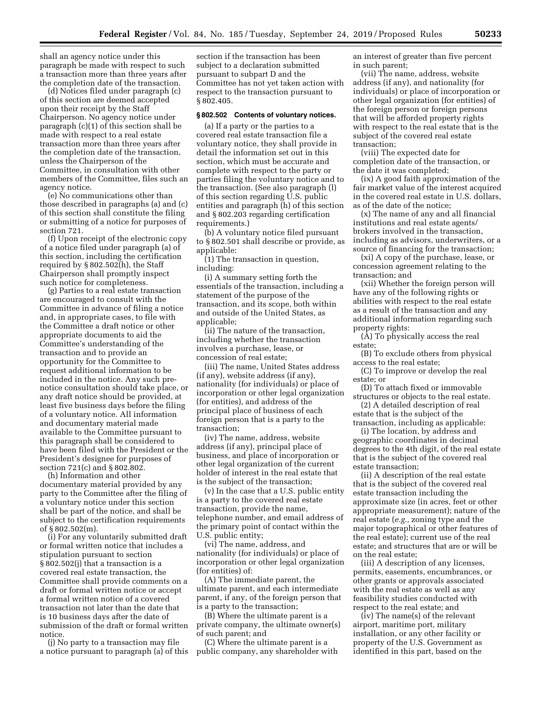shall an agency notice under this paragraph be made with respect to such a transaction more than three years after the completion date of the transaction.

(d) Notices filed under paragraph (c) of this section are deemed accepted upon their receipt by the Staff Chairperson. No agency notice under paragraph (c)(1) of this section shall be made with respect to a real estate transaction more than three years after the completion date of the transaction, unless the Chairperson of the Committee, in consultation with other members of the Committee, files such an agency notice.

(e) No communications other than those described in paragraphs (a) and (c) of this section shall constitute the filing or submitting of a notice for purposes of section 721.

(f) Upon receipt of the electronic copy of a notice filed under paragraph (a) of this section, including the certification required by § 802.502(h), the Staff Chairperson shall promptly inspect such notice for completeness.

(g) Parties to a real estate transaction are encouraged to consult with the Committee in advance of filing a notice and, in appropriate cases, to file with the Committee a draft notice or other appropriate documents to aid the Committee's understanding of the transaction and to provide an opportunity for the Committee to request additional information to be included in the notice. Any such prenotice consultation should take place, or any draft notice should be provided, at least five business days before the filing of a voluntary notice. All information and documentary material made available to the Committee pursuant to this paragraph shall be considered to have been filed with the President or the President's designee for purposes of section 721(c) and § 802.802.

(h) Information and other documentary material provided by any party to the Committee after the filing of a voluntary notice under this section shall be part of the notice, and shall be subject to the certification requirements of § 802.502(m).

(i) For any voluntarily submitted draft or formal written notice that includes a stipulation pursuant to section § 802.502(j) that a transaction is a covered real estate transaction, the Committee shall provide comments on a draft or formal written notice or accept a formal written notice of a covered transaction not later than the date that is 10 business days after the date of submission of the draft or formal written notice.

(j) No party to a transaction may file a notice pursuant to paragraph (a) of this

section if the transaction has been subject to a declaration submitted pursuant to subpart D and the Committee has not yet taken action with respect to the transaction pursuant to § 802.405.

## **§ 802.502 Contents of voluntary notices.**

(a) If a party or the parties to a covered real estate transaction file a voluntary notice, they shall provide in detail the information set out in this section, which must be accurate and complete with respect to the party or parties filing the voluntary notice and to the transaction. (See also paragraph (l) of this section regarding U.S. public entities and paragraph (h) of this section and § 802.203 regarding certification requirements.)

(b) A voluntary notice filed pursuant to § 802.501 shall describe or provide, as applicable:

(1) The transaction in question, including:

(i) A summary setting forth the essentials of the transaction, including a statement of the purpose of the transaction, and its scope, both within and outside of the United States, as applicable;

(ii) The nature of the transaction, including whether the transaction involves a purchase, lease, or concession of real estate;

(iii) The name, United States address (if any), website address (if any), nationality (for individuals) or place of incorporation or other legal organization (for entities), and address of the principal place of business of each foreign person that is a party to the transaction;

(iv) The name, address, website address (if any), principal place of business, and place of incorporation or other legal organization of the current holder of interest in the real estate that is the subject of the transaction;

(v) In the case that a U.S. public entity is a party to the covered real estate transaction, provide the name, telephone number, and email address of the primary point of contact within the U.S. public entity;

(vi) The name, address, and nationality (for individuals) or place of incorporation or other legal organization (for entities) of:

(A) The immediate parent, the ultimate parent, and each intermediate parent, if any, of the foreign person that is a party to the transaction;

(B) Where the ultimate parent is a private company, the ultimate owner(s) of such parent; and

(C) Where the ultimate parent is a public company, any shareholder with an interest of greater than five percent in such parent;

(vii) The name, address, website address (if any), and nationality (for individuals) or place of incorporation or other legal organization (for entities) of the foreign person or foreign persons that will be afforded property rights with respect to the real estate that is the subject of the covered real estate transaction;

(viii) The expected date for completion date of the transaction, or the date it was completed;

(ix) A good faith approximation of the fair market value of the interest acquired in the covered real estate in U.S. dollars, as of the date of the notice;

(x) The name of any and all financial institutions and real estate agents/ brokers involved in the transaction, including as advisors, underwriters, or a source of financing for the transaction;

(xi) A copy of the purchase, lease, or concession agreement relating to the transaction; and

(xii) Whether the foreign person will have any of the following rights or abilities with respect to the real estate as a result of the transaction and any additional information regarding such property rights:

(A) To physically access the real estate;

(B) To exclude others from physical access to the real estate;

(C) To improve or develop the real estate; or

(D) To attach fixed or immovable structures or objects to the real estate.

(2) A detailed description of real estate that is the subject of the transaction, including as applicable:

(i) The location, by address and geographic coordinates in decimal degrees to the 4th digit, of the real estate that is the subject of the covered real estate transaction;

(ii) A description of the real estate that is the subject of the covered real estate transaction including the approximate size (in acres, feet or other appropriate measurement); nature of the real estate (*e.g.,* zoning type and the major topographical or other features of the real estate); current use of the real estate; and structures that are or will be on the real estate;

(iii) A description of any licenses, permits, easements, encumbrances, or other grants or approvals associated with the real estate as well as any feasibility studies conducted with respect to the real estate; and

(iv) The name(s) of the relevant airport, maritime port, military installation, or any other facility or property of the U.S. Government as identified in this part, based on the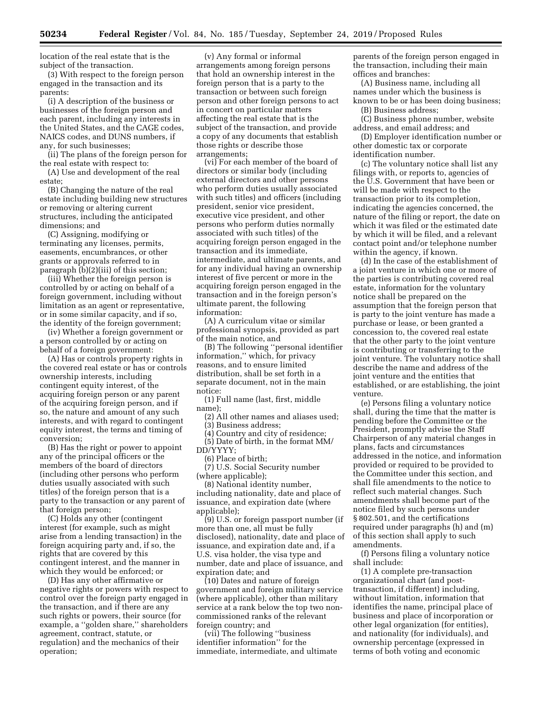location of the real estate that is the subject of the transaction.

(3) With respect to the foreign person engaged in the transaction and its parents:

(i) A description of the business or businesses of the foreign person and each parent, including any interests in the United States, and the CAGE codes, NAICS codes, and DUNS numbers, if any, for such businesses;

(ii) The plans of the foreign person for the real estate with respect to:

(A) Use and development of the real estate;

(B) Changing the nature of the real estate including building new structures or removing or altering current structures, including the anticipated dimensions; and

(C) Assigning, modifying or terminating any licenses, permits, easements, encumbrances, or other grants or approvals referred to in paragraph (b)(2)(iii) of this section;

(iii) Whether the foreign person is controlled by or acting on behalf of a foreign government, including without limitation as an agent or representative, or in some similar capacity, and if so, the identity of the foreign government;

(iv) Whether a foreign government or a person controlled by or acting on behalf of a foreign government:

(A) Has or controls property rights in the covered real estate or has or controls ownership interests, including contingent equity interest, of the acquiring foreign person or any parent of the acquiring foreign person, and if so, the nature and amount of any such interests, and with regard to contingent equity interest, the terms and timing of conversion;

(B) Has the right or power to appoint any of the principal officers or the members of the board of directors (including other persons who perform duties usually associated with such titles) of the foreign person that is a party to the transaction or any parent of that foreign person;

(C) Holds any other (contingent interest (for example, such as might arise from a lending transaction) in the foreign acquiring party and, if so, the rights that are covered by this contingent interest, and the manner in which they would be enforced; or

(D) Has any other affirmative or negative rights or powers with respect to control over the foreign party engaged in the transaction, and if there are any such rights or powers, their source (for example, a ''golden share,'' shareholders agreement, contract, statute, or regulation) and the mechanics of their operation;

(v) Any formal or informal arrangements among foreign persons that hold an ownership interest in the foreign person that is a party to the transaction or between such foreign person and other foreign persons to act in concert on particular matters affecting the real estate that is the subject of the transaction, and provide a copy of any documents that establish those rights or describe those arrangements;

(vi) For each member of the board of directors or similar body (including external directors and other persons who perform duties usually associated with such titles) and officers (including president, senior vice president, executive vice president, and other persons who perform duties normally associated with such titles) of the acquiring foreign person engaged in the transaction and its immediate, intermediate, and ultimate parents, and for any individual having an ownership interest of five percent or more in the acquiring foreign person engaged in the transaction and in the foreign person's ultimate parent, the following information:

(A) A curriculum vitae or similar professional synopsis, provided as part of the main notice, and

(B) The following ''personal identifier information,'' which, for privacy reasons, and to ensure limited distribution, shall be set forth in a separate document, not in the main notice:

(1) Full name (last, first, middle name);

(2) All other names and aliases used;

(3) Business address;

(4) Country and city of residence; (5) Date of birth, in the format MM/ DD/YYYY;

(6) Place of birth;

(7) U.S. Social Security number (where applicable);

(8) National identity number, including nationality, date and place of issuance, and expiration date (where applicable);

(9) U.S. or foreign passport number (if more than one, all must be fully disclosed), nationality, date and place of issuance, and expiration date and, if a U.S. visa holder, the visa type and number, date and place of issuance, and expiration date; and

(10) Dates and nature of foreign government and foreign military service (where applicable), other than military service at a rank below the top two noncommissioned ranks of the relevant foreign country; and

(vii) The following ''business identifier information'' for the immediate, intermediate, and ultimate parents of the foreign person engaged in the transaction, including their main offices and branches:

(A) Business name, including all names under which the business is known to be or has been doing business; (B) Business address;

(C) Business phone number, website address, and email address; and

(D) Employer identification number or other domestic tax or corporate identification number.

(c) The voluntary notice shall list any filings with, or reports to, agencies of the U.S. Government that have been or will be made with respect to the transaction prior to its completion, indicating the agencies concerned, the nature of the filing or report, the date on which it was filed or the estimated date by which it will be filed, and a relevant contact point and/or telephone number within the agency, if known.

(d) In the case of the establishment of a joint venture in which one or more of the parties is contributing covered real estate, information for the voluntary notice shall be prepared on the assumption that the foreign person that is party to the joint venture has made a purchase or lease, or been granted a concession to, the covered real estate that the other party to the joint venture is contributing or transferring to the joint venture. The voluntary notice shall describe the name and address of the joint venture and the entities that established, or are establishing, the joint venture.

(e) Persons filing a voluntary notice shall, during the time that the matter is pending before the Committee or the President, promptly advise the Staff Chairperson of any material changes in plans, facts and circumstances addressed in the notice, and information provided or required to be provided to the Committee under this section, and shall file amendments to the notice to reflect such material changes. Such amendments shall become part of the notice filed by such persons under § 802.501, and the certifications required under paragraphs (h) and (m) of this section shall apply to such amendments.

(f) Persons filing a voluntary notice shall include:

(1) A complete pre-transaction organizational chart (and posttransaction, if different) including, without limitation, information that identifies the name, principal place of business and place of incorporation or other legal organization (for entities), and nationality (for individuals), and ownership percentage (expressed in terms of both voting and economic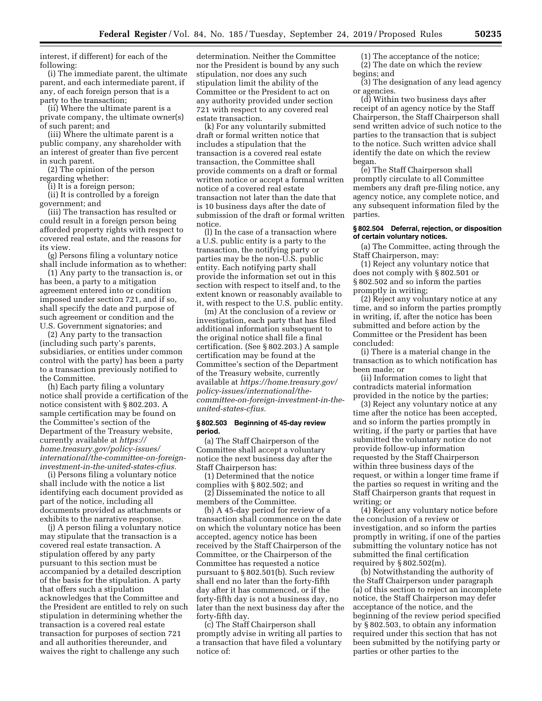interest, if different) for each of the following:

(i) The immediate parent, the ultimate parent, and each intermediate parent, if any, of each foreign person that is a party to the transaction;

(ii) Where the ultimate parent is a private company, the ultimate owner(s) of such parent; and

(iii) Where the ultimate parent is a public company, any shareholder with an interest of greater than five percent in such parent.

(2) The opinion of the person regarding whether:

(i) It is a foreign person;

(ii) It is controlled by a foreign

government; and

(iii) The transaction has resulted or could result in a foreign person being afforded property rights with respect to covered real estate, and the reasons for its view.

(g) Persons filing a voluntary notice shall include information as to whether:

(1) Any party to the transaction is, or has been, a party to a mitigation agreement entered into or condition imposed under section 721, and if so, shall specify the date and purpose of such agreement or condition and the U.S. Government signatories; and

(2) Any party to the transaction (including such party's parents, subsidiaries, or entities under common control with the party) has been a party to a transaction previously notified to the Committee.

(h) Each party filing a voluntary notice shall provide a certification of the notice consistent with § 802.203. A sample certification may be found on the Committee's section of the Department of the Treasury website, currently available at *[https://](https://home.treasury.gov/policy-issues/international/the-committee-on-foreign-investment-in-the-united-states-cfius) [home.treasury.gov/policy-issues/](https://home.treasury.gov/policy-issues/international/the-committee-on-foreign-investment-in-the-united-states-cfius) [international/the-committee-on-foreign](https://home.treasury.gov/policy-issues/international/the-committee-on-foreign-investment-in-the-united-states-cfius)[investment-in-the-united-states-cfius.](https://home.treasury.gov/policy-issues/international/the-committee-on-foreign-investment-in-the-united-states-cfius)* 

(i) Persons filing a voluntary notice shall include with the notice a list identifying each document provided as part of the notice, including all documents provided as attachments or exhibits to the narrative response.

(j) A person filing a voluntary notice may stipulate that the transaction is a covered real estate transaction. A stipulation offered by any party pursuant to this section must be accompanied by a detailed description of the basis for the stipulation. A party that offers such a stipulation acknowledges that the Committee and the President are entitled to rely on such stipulation in determining whether the transaction is a covered real estate transaction for purposes of section 721 and all authorities thereunder, and waives the right to challenge any such

determination. Neither the Committee nor the President is bound by any such stipulation, nor does any such stipulation limit the ability of the Committee or the President to act on any authority provided under section 721 with respect to any covered real estate transaction.

(k) For any voluntarily submitted draft or formal written notice that includes a stipulation that the transaction is a covered real estate transaction, the Committee shall provide comments on a draft or formal written notice or accept a formal written notice of a covered real estate transaction not later than the date that is 10 business days after the date of submission of the draft or formal written notice.

(l) In the case of a transaction where a U.S. public entity is a party to the transaction, the notifying party or parties may be the non-U.S. public entity. Each notifying party shall provide the information set out in this section with respect to itself and, to the extent known or reasonably available to it, with respect to the U.S. public entity.

(m) At the conclusion of a review or investigation, each party that has filed additional information subsequent to the original notice shall file a final certification. (See § 802.203.) A sample certification may be found at the Committee's section of the Department of the Treasury website, currently available at *[https://home.treasury.gov/](https://home.treasury.gov/policy-issues/international/the-committee-on-foreign-investment-in-the-united-states-cfius)  [policy-issues/international/the](https://home.treasury.gov/policy-issues/international/the-committee-on-foreign-investment-in-the-united-states-cfius)[committee-on-foreign-investment-in-the](https://home.treasury.gov/policy-issues/international/the-committee-on-foreign-investment-in-the-united-states-cfius)[united-states-cfius.](https://home.treasury.gov/policy-issues/international/the-committee-on-foreign-investment-in-the-united-states-cfius)* 

### **§ 802.503 Beginning of 45-day review period.**

(a) The Staff Chairperson of the Committee shall accept a voluntary notice the next business day after the Staff Chairperson has:

(1) Determined that the notice complies with § 802.502; and

(2) Disseminated the notice to all members of the Committee.

(b) A 45-day period for review of a transaction shall commence on the date on which the voluntary notice has been accepted, agency notice has been received by the Staff Chairperson of the Committee, or the Chairperson of the Committee has requested a notice pursuant to § 802.501(b). Such review shall end no later than the forty-fifth day after it has commenced, or if the forty-fifth day is not a business day, no later than the next business day after the forty-fifth day.

(c) The Staff Chairperson shall promptly advise in writing all parties to a transaction that have filed a voluntary notice of:

(1) The acceptance of the notice; (2) The date on which the review

begins; and (3) The designation of any lead agency or agencies.

(d) Within two business days after receipt of an agency notice by the Staff Chairperson, the Staff Chairperson shall send written advice of such notice to the parties to the transaction that is subject to the notice. Such written advice shall identify the date on which the review began.

(e) The Staff Chairperson shall promptly circulate to all Committee members any draft pre-filing notice, any agency notice, any complete notice, and any subsequent information filed by the parties.

## **§ 802.504 Deferral, rejection, or disposition of certain voluntary notices.**

(a) The Committee, acting through the Staff Chairperson, may:

(1) Reject any voluntary notice that does not comply with § 802.501 or § 802.502 and so inform the parties promptly in writing;

(2) Reject any voluntary notice at any time, and so inform the parties promptly in writing, if, after the notice has been submitted and before action by the Committee or the President has been concluded:

(i) There is a material change in the transaction as to which notification has been made; or

(ii) Information comes to light that contradicts material information provided in the notice by the parties;

(3) Reject any voluntary notice at any time after the notice has been accepted, and so inform the parties promptly in writing, if the party or parties that have submitted the voluntary notice do not provide follow-up information requested by the Staff Chairperson within three business days of the request, or within a longer time frame if the parties so request in writing and the Staff Chairperson grants that request in writing; or

(4) Reject any voluntary notice before the conclusion of a review or investigation, and so inform the parties promptly in writing, if one of the parties submitting the voluntary notice has not submitted the final certification required by § 802.502(m).

(b) Notwithstanding the authority of the Staff Chairperson under paragraph (a) of this section to reject an incomplete notice, the Staff Chairperson may defer acceptance of the notice, and the beginning of the review period specified by § 802.503, to obtain any information required under this section that has not been submitted by the notifying party or parties or other parties to the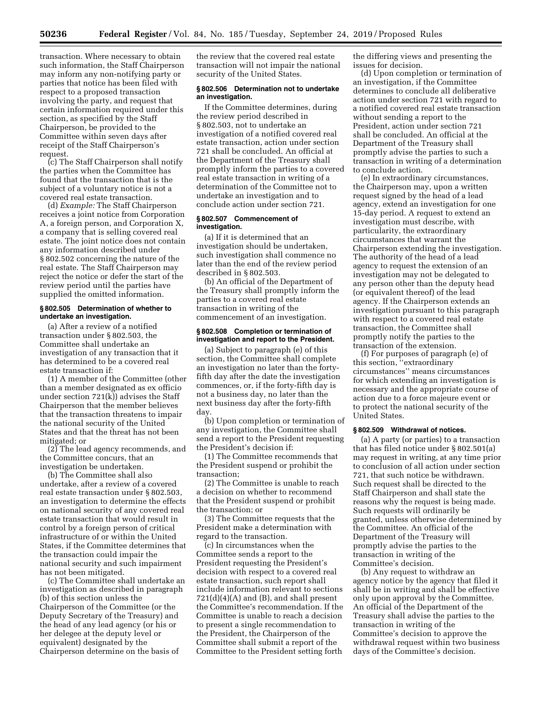transaction. Where necessary to obtain such information, the Staff Chairperson may inform any non-notifying party or parties that notice has been filed with respect to a proposed transaction involving the party, and request that certain information required under this section, as specified by the Staff Chairperson, be provided to the Committee within seven days after receipt of the Staff Chairperson's request.

(c) The Staff Chairperson shall notify the parties when the Committee has found that the transaction that is the subject of a voluntary notice is not a covered real estate transaction.

(d) *Example:* The Staff Chairperson receives a joint notice from Corporation A, a foreign person, and Corporation X, a company that is selling covered real estate. The joint notice does not contain any information described under § 802.502 concerning the nature of the real estate. The Staff Chairperson may reject the notice or defer the start of the review period until the parties have supplied the omitted information.

## **§ 802.505 Determination of whether to undertake an investigation.**

(a) After a review of a notified transaction under § 802.503, the Committee shall undertake an investigation of any transaction that it has determined to be a covered real estate transaction if:

(1) A member of the Committee (other than a member designated as ex officio under section 721(k)) advises the Staff Chairperson that the member believes that the transaction threatens to impair the national security of the United States and that the threat has not been mitigated; or

(2) The lead agency recommends, and the Committee concurs, that an investigation be undertaken.

(b) The Committee shall also undertake, after a review of a covered real estate transaction under § 802.503, an investigation to determine the effects on national security of any covered real estate transaction that would result in control by a foreign person of critical infrastructure of or within the United States, if the Committee determines that the transaction could impair the national security and such impairment has not been mitigated.

(c) The Committee shall undertake an investigation as described in paragraph (b) of this section unless the Chairperson of the Committee (or the Deputy Secretary of the Treasury) and the head of any lead agency (or his or her delegee at the deputy level or equivalent) designated by the Chairperson determine on the basis of

the review that the covered real estate transaction will not impair the national security of the United States.

## **§ 802.506 Determination not to undertake an investigation.**

If the Committee determines, during the review period described in § 802.503, not to undertake an investigation of a notified covered real estate transaction, action under section 721 shall be concluded. An official at the Department of the Treasury shall promptly inform the parties to a covered real estate transaction in writing of a determination of the Committee not to undertake an investigation and to conclude action under section 721.

## **§ 802.507 Commencement of investigation.**

(a) If it is determined that an investigation should be undertaken, such investigation shall commence no later than the end of the review period described in § 802.503.

(b) An official of the Department of the Treasury shall promptly inform the parties to a covered real estate transaction in writing of the commencement of an investigation.

### **§ 802.508 Completion or termination of investigation and report to the President.**

(a) Subject to paragraph (e) of this section, the Committee shall complete an investigation no later than the fortyfifth day after the date the investigation commences, or, if the forty-fifth day is not a business day, no later than the next business day after the forty-fifth day.

(b) Upon completion or termination of any investigation, the Committee shall send a report to the President requesting the President's decision if:

(1) The Committee recommends that the President suspend or prohibit the transaction;

(2) The Committee is unable to reach a decision on whether to recommend that the President suspend or prohibit the transaction; or

(3) The Committee requests that the President make a determination with regard to the transaction.

(c) In circumstances when the Committee sends a report to the President requesting the President's decision with respect to a covered real estate transaction, such report shall include information relevant to sections  $721(d)(4)(A)$  and (B), and shall present the Committee's recommendation. If the Committee is unable to reach a decision to present a single recommendation to the President, the Chairperson of the Committee shall submit a report of the Committee to the President setting forth

the differing views and presenting the issues for decision.

(d) Upon completion or termination of an investigation, if the Committee determines to conclude all deliberative action under section 721 with regard to a notified covered real estate transaction without sending a report to the President, action under section 721 shall be concluded. An official at the Department of the Treasury shall promptly advise the parties to such a transaction in writing of a determination to conclude action.

(e) In extraordinary circumstances, the Chairperson may, upon a written request signed by the head of a lead agency, extend an investigation for one 15-day period. A request to extend an investigation must describe, with particularity, the extraordinary circumstances that warrant the Chairperson extending the investigation. The authority of the head of a lead agency to request the extension of an investigation may not be delegated to any person other than the deputy head (or equivalent thereof) of the lead agency. If the Chairperson extends an investigation pursuant to this paragraph with respect to a covered real estate transaction, the Committee shall promptly notify the parties to the transaction of the extension.

(f) For purposes of paragraph (e) of this section, ''extraordinary circumstances'' means circumstances for which extending an investigation is necessary and the appropriate course of action due to a force majeure event or to protect the national security of the United States.

## **§ 802.509 Withdrawal of notices.**

(a) A party (or parties) to a transaction that has filed notice under § 802.501(a) may request in writing, at any time prior to conclusion of all action under section 721, that such notice be withdrawn. Such request shall be directed to the Staff Chairperson and shall state the reasons why the request is being made. Such requests will ordinarily be granted, unless otherwise determined by the Committee. An official of the Department of the Treasury will promptly advise the parties to the transaction in writing of the Committee's decision.

(b) Any request to withdraw an agency notice by the agency that filed it shall be in writing and shall be effective only upon approval by the Committee. An official of the Department of the Treasury shall advise the parties to the transaction in writing of the Committee's decision to approve the withdrawal request within two business days of the Committee's decision.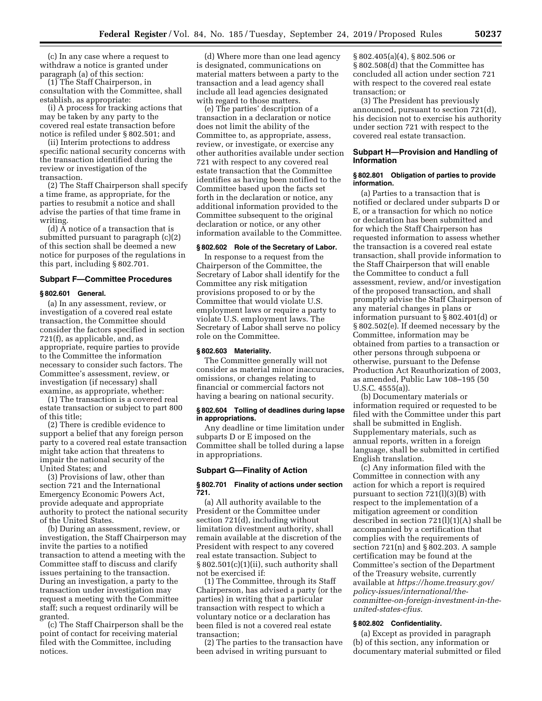(c) In any case where a request to withdraw a notice is granted under paragraph (a) of this section:

(1) The Staff Chairperson, in consultation with the Committee, shall establish, as appropriate:

(i) A process for tracking actions that may be taken by any party to the covered real estate transaction before notice is refiled under § 802.501; and

(ii) Interim protections to address specific national security concerns with the transaction identified during the review or investigation of the transaction.

(2) The Staff Chairperson shall specify a time frame, as appropriate, for the parties to resubmit a notice and shall advise the parties of that time frame in writing.

(d) A notice of a transaction that is submitted pursuant to paragraph (c)(2) of this section shall be deemed a new notice for purposes of the regulations in this part, including § 802.701.

### **Subpart F—Committee Procedures**

#### **§ 802.601 General.**

(a) In any assessment, review, or investigation of a covered real estate transaction, the Committee should consider the factors specified in section 721(f), as applicable, and, as appropriate, require parties to provide to the Committee the information necessary to consider such factors. The Committee's assessment, review, or investigation (if necessary) shall examine, as appropriate, whether:

(1) The transaction is a covered real estate transaction or subject to part 800 of this title;

(2) There is credible evidence to support a belief that any foreign person party to a covered real estate transaction might take action that threatens to impair the national security of the United States; and

(3) Provisions of law, other than section 721 and the International Emergency Economic Powers Act, provide adequate and appropriate authority to protect the national security of the United States.

(b) During an assessment, review, or investigation, the Staff Chairperson may invite the parties to a notified transaction to attend a meeting with the Committee staff to discuss and clarify issues pertaining to the transaction. During an investigation, a party to the transaction under investigation may request a meeting with the Committee staff; such a request ordinarily will be granted.

(c) The Staff Chairperson shall be the point of contact for receiving material filed with the Committee, including notices.

(d) Where more than one lead agency is designated, communications on material matters between a party to the transaction and a lead agency shall include all lead agencies designated with regard to those matters.

(e) The parties' description of a transaction in a declaration or notice does not limit the ability of the Committee to, as appropriate, assess, review, or investigate, or exercise any other authorities available under section 721 with respect to any covered real estate transaction that the Committee identifies as having been notified to the Committee based upon the facts set forth in the declaration or notice, any additional information provided to the Committee subsequent to the original declaration or notice, or any other information available to the Committee.

## **§ 802.602 Role of the Secretary of Labor.**

In response to a request from the Chairperson of the Committee, the Secretary of Labor shall identify for the Committee any risk mitigation provisions proposed to or by the Committee that would violate U.S. employment laws or require a party to violate U.S. employment laws. The Secretary of Labor shall serve no policy role on the Committee.

# **§ 802.603 Materiality.**

The Committee generally will not consider as material minor inaccuracies, omissions, or changes relating to financial or commercial factors not having a bearing on national security.

### **§ 802.604 Tolling of deadlines during lapse in appropriations.**

Any deadline or time limitation under subparts D or E imposed on the Committee shall be tolled during a lapse in appropriations.

## **Subpart G—Finality of Action**

### **§ 802.701 Finality of actions under section 721.**

(a) All authority available to the President or the Committee under section 721(d), including without limitation divestment authority, shall remain available at the discretion of the President with respect to any covered real estate transaction. Subject to § 802.501(c)(1)(ii), such authority shall not be exercised if:

(1) The Committee, through its Staff Chairperson, has advised a party (or the parties) in writing that a particular transaction with respect to which a voluntary notice or a declaration has been filed is not a covered real estate transaction;

(2) The parties to the transaction have been advised in writing pursuant to

§ 802.405(a)(4), § 802.506 or § 802.508(d) that the Committee has concluded all action under section 721 with respect to the covered real estate transaction; or

(3) The President has previously announced, pursuant to section 721(d), his decision not to exercise his authority under section 721 with respect to the covered real estate transaction.

# **Subpart H—Provision and Handling of Information**

## **§ 802.801 Obligation of parties to provide information.**

(a) Parties to a transaction that is notified or declared under subparts D or E, or a transaction for which no notice or declaration has been submitted and for which the Staff Chairperson has requested information to assess whether the transaction is a covered real estate transaction, shall provide information to the Staff Chairperson that will enable the Committee to conduct a full assessment, review, and/or investigation of the proposed transaction, and shall promptly advise the Staff Chairperson of any material changes in plans or information pursuant to § 802.401(d) or § 802.502(e). If deemed necessary by the Committee, information may be obtained from parties to a transaction or other persons through subpoena or otherwise, pursuant to the Defense Production Act Reauthorization of 2003, as amended, Public Law 108–195 (50 U.S.C. 4555(a)).

(b) Documentary materials or information required or requested to be filed with the Committee under this part shall be submitted in English. Supplementary materials, such as annual reports, written in a foreign language, shall be submitted in certified English translation.

(c) Any information filed with the Committee in connection with any action for which a report is required pursuant to section 721(l)(3)(B) with respect to the implementation of a mitigation agreement or condition described in section  $721(l)(1)(A)$  shall be accompanied by a certification that complies with the requirements of section 721(n) and § 802.203. A sample certification may be found at the Committee's section of the Department of the Treasury website, currently available at *[https://home.treasury.gov/](https://home.treasury.gov/policy-issues/international/the-committee-on-foreign-investment-in-the-united-states-cfius)  [policy-issues/international/the](https://home.treasury.gov/policy-issues/international/the-committee-on-foreign-investment-in-the-united-states-cfius)[committee-on-foreign-investment-in-the](https://home.treasury.gov/policy-issues/international/the-committee-on-foreign-investment-in-the-united-states-cfius)[united-states-cfius.](https://home.treasury.gov/policy-issues/international/the-committee-on-foreign-investment-in-the-united-states-cfius)* 

# **§ 802.802 Confidentiality.**

(a) Except as provided in paragraph (b) of this section, any information or documentary material submitted or filed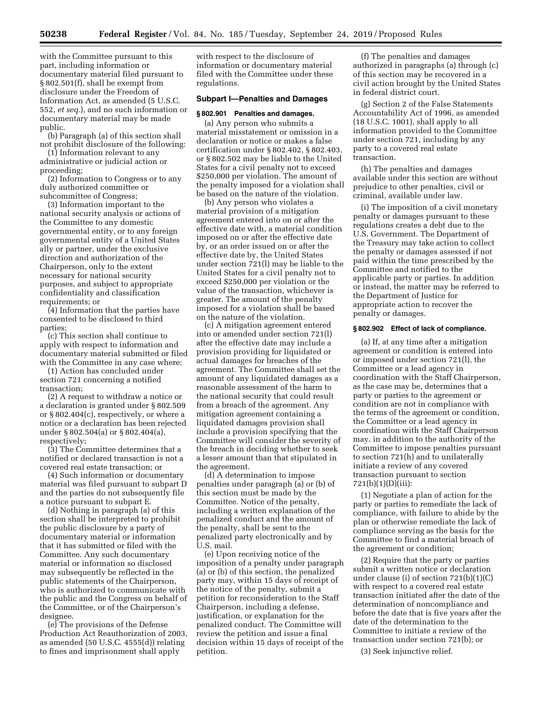with the Committee pursuant to this part, including information or documentary material filed pursuant to § 802.501(f), shall be exempt from disclosure under the Freedom of Information Act, as amended (5 U.S.C. 552, *et seq.*), and no such information or documentary material may be made public.

(b) Paragraph (a) of this section shall not prohibit disclosure of the following:

(1) Information relevant to any administrative or judicial action or proceeding;

(2) Information to Congress or to any duly authorized committee or subcommittee of Congress;

(3) Information important to the national security analysis or actions of the Committee to any domestic governmental entity, or to any foreign governmental entity of a United States ally or partner, under the exclusive direction and authorization of the Chairperson, only to the extent necessary for national security purposes, and subject to appropriate confidentiality and classification requirements; or

(4) Information that the parties have consented to be disclosed to third parties;

(c) This section shall continue to apply with respect to information and documentary material submitted or filed with the Committee in any case where:

(1) Action has concluded under section 721 concerning a notified transaction;

(2) A request to withdraw a notice or a declaration is granted under § 802.509 or § 802.404(c), respectively, or where a notice or a declaration has been rejected under § 802.504(a) or § 802.404(a), respectively;

(3) The Committee determines that a notified or declared transaction is not a covered real estate transaction; or

(4) Such information or documentary material was filed pursuant to subpart D and the parties do not subsequently file a notice pursuant to subpart E.

(d) Nothing in paragraph (a) of this section shall be interpreted to prohibit the public disclosure by a party of documentary material or information that it has submitted or filed with the Committee. Any such documentary material or information so disclosed may subsequently be reflected in the public statements of the Chairperson, who is authorized to communicate with the public and the Congress on behalf of the Committee, or of the Chairperson's designee.

(e) The provisions of the Defense Production Act Reauthorization of 2003, as amended (50 U.S.C. 4555(d)) relating to fines and imprisonment shall apply

with respect to the disclosure of information or documentary material filed with the Committee under these regulations.

## **Subpart I—Penalties and Damages**

#### **§ 802.901 Penalties and damages.**

(a) Any person who submits a material misstatement or omission in a declaration or notice or makes a false certification under § 802.402, § 802.403, or § 802.502 may be liable to the United States for a civil penalty not to exceed \$250,000 per violation. The amount of the penalty imposed for a violation shall be based on the nature of the violation.

(b) Any person who violates a material provision of a mitigation agreement entered into on or after the effective date with, a material condition imposed on or after the effective date by, or an order issued on or after the effective date by, the United States under section 721(l) may be liable to the United States for a civil penalty not to exceed \$250,000 per violation or the value of the transaction, whichever is greater. The amount of the penalty imposed for a violation shall be based on the nature of the violation.

(c) A mitigation agreement entered into or amended under section 721(l) after the effective date may include a provision providing for liquidated or actual damages for breaches of the agreement. The Committee shall set the amount of any liquidated damages as a reasonable assessment of the harm to the national security that could result from a breach of the agreement. Any mitigation agreement containing a liquidated damages provision shall include a provision specifying that the Committee will consider the severity of the breach in deciding whether to seek a lesser amount than that stipulated in the agreement.

(d) A determination to impose penalties under paragraph (a) or (b) of this section must be made by the Committee. Notice of the penalty, including a written explanation of the penalized conduct and the amount of the penalty, shall be sent to the penalized party electronically and by U.S. mail.

(e) Upon receiving notice of the imposition of a penalty under paragraph (a) or (b) of this section, the penalized party may, within 15 days of receipt of the notice of the penalty, submit a petition for reconsideration to the Staff Chairperson, including a defense, justification, or explanation for the penalized conduct. The Committee will review the petition and issue a final decision within 15 days of receipt of the petition.

(f) The penalties and damages authorized in paragraphs (a) through (c) of this section may be recovered in a civil action brought by the United States in federal district court.

(g) Section 2 of the False Statements Accountability Act of 1996, as amended (18 U.S.C. 1001), shall apply to all information provided to the Committee under section 721, including by any party to a covered real estate transaction.

(h) The penalties and damages available under this section are without prejudice to other penalties, civil or criminal, available under law.

(i) The imposition of a civil monetary penalty or damages pursuant to these regulations creates a debt due to the U.S. Government. The Department of the Treasury may take action to collect the penalty or damages assessed if not paid within the time prescribed by the Committee and notified to the applicable party or parties. In addition or instead, the matter may be referred to the Department of Justice for appropriate action to recover the penalty or damages.

#### **§ 802.902 Effect of lack of compliance.**

(a) If, at any time after a mitigation agreement or condition is entered into or imposed under section 721(l), the Committee or a lead agency in coordination with the Staff Chairperson, as the case may be, determines that a party or parties to the agreement or condition are not in compliance with the terms of the agreement or condition, the Committee or a lead agency in coordination with the Staff Chairperson may, in addition to the authority of the Committee to impose penalties pursuant to section 721(h) and to unilaterally initiate a review of any covered transaction pursuant to section 721(b)(1)(D)(iii):

(1) Negotiate a plan of action for the party or parties to remediate the lack of compliance, with failure to abide by the plan or otherwise remediate the lack of compliance serving as the basis for the Committee to find a material breach of the agreement or condition;

(2) Require that the party or parties submit a written notice or declaration under clause (i) of section 721(b)(1)(C) with respect to a covered real estate transaction initiated after the date of the determination of noncompliance and before the date that is five years after the date of the determination to the Committee to initiate a review of the transaction under section 721(b); or

(3) Seek injunctive relief.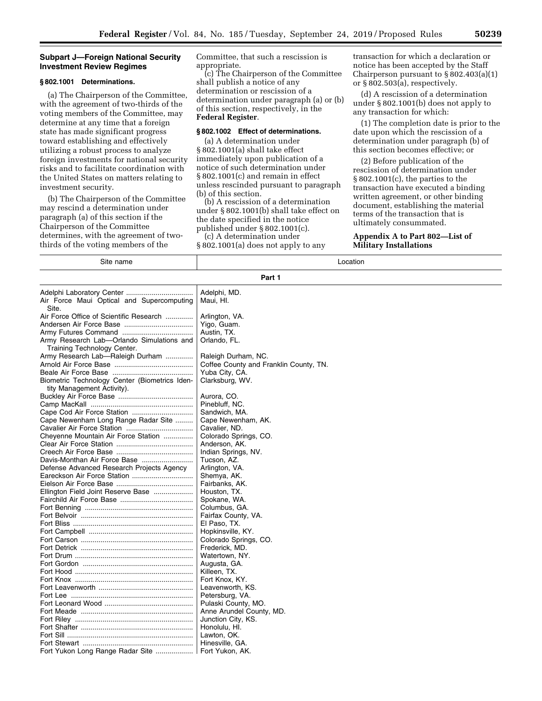# **Subpart J—Foreign National Security Investment Review Regimes**

# **§ 802.1001 Determinations.**

(a) The Chairperson of the Committee, with the agreement of two-thirds of the voting members of the Committee, may determine at any time that a foreign state has made significant progress toward establishing and effectively utilizing a robust process to analyze foreign investments for national security risks and to facilitate coordination with the United States on matters relating to investment security.

(b) The Chairperson of the Committee may rescind a determination under paragraph (a) of this section if the Chairperson of the Committee determines, with the agreement of twothirds of the voting members of the

Committee, that such a rescission is appropriate.

(c) The Chairperson of the Committee shall publish a notice of any determination or rescission of a determination under paragraph (a) or (b) of this section, respectively, in the **Federal Register**.

## **§ 802.1002 Effect of determinations.**

(a) A determination under § 802.1001(a) shall take effect immediately upon publication of a notice of such determination under § 802.1001(c) and remain in effect unless rescinded pursuant to paragraph (b) of this section.

(b) A rescission of a determination under § 802.1001(b) shall take effect on the date specified in the notice published under § 802.1001(c). (c) A determination under

§ 802.1001(a) does not apply to any

transaction for which a declaration or notice has been accepted by the Staff Chairperson pursuant to  $\S 802.403(a)(1)$ or § 802.503(a), respectively.

(d) A rescission of a determination under § 802.1001(b) does not apply to any transaction for which:

(1) The completion date is prior to the date upon which the rescission of a determination under paragraph (b) of this section becomes effective; or

(2) Before publication of the rescission of determination under § 802.1001(c), the parties to the transaction have executed a binding written agreement, or other binding document, establishing the material terms of the transaction that is ultimately consummated.

## **Appendix A to Part 802—List of Military Installations**

| Site name                                     | Location                               |  |
|-----------------------------------------------|----------------------------------------|--|
| Part 1                                        |                                        |  |
|                                               | Adelphi, MD.                           |  |
| Air Force Maui Optical and Supercomputing     | Maui, HI.                              |  |
| Site.                                         |                                        |  |
| Air Force Office of Scientific Research       | Arlington, VA.                         |  |
|                                               | Yigo, Guam.                            |  |
|                                               | Austin, TX.                            |  |
| Army Research Lab-Orlando Simulations and     | Orlando, FL.                           |  |
| Training Technology Center.                   |                                        |  |
| Army Research Lab—Raleigh Durham              | Raleigh Durham, NC.                    |  |
|                                               | Coffee County and Franklin County, TN. |  |
|                                               | Yuba City, CA.                         |  |
| Biometric Technology Center (Biometrics Iden- | Clarksburg, WV.                        |  |
| tity Management Activity).                    |                                        |  |
|                                               | Aurora, CO.                            |  |
|                                               | Pinebluff, NC.                         |  |
|                                               | Sandwich, MA.                          |  |
| Cape Newenham Long Range Radar Site           | Cape Newenham, AK.                     |  |
|                                               | Cavalier, ND.                          |  |
| Cheyenne Mountain Air Force Station           | Colorado Springs, CO.                  |  |
|                                               | Anderson, AK.                          |  |
|                                               | Indian Springs, NV.                    |  |
| Davis-Monthan Air Force Base                  | Tucson, AZ.                            |  |
| Defense Advanced Research Projects Agency     | Arlington, VA.                         |  |
|                                               | Shemya, AK.                            |  |
|                                               | Fairbanks, AK.                         |  |
| Ellington Field Joint Reserve Base            | Houston, TX.                           |  |
|                                               | Spokane, WA.                           |  |
|                                               | Columbus, GA.                          |  |
|                                               | Fairfax County, VA.                    |  |
|                                               | El Paso, TX.                           |  |
|                                               | Hopkinsville, KY.                      |  |
|                                               | Colorado Springs, CO.                  |  |
|                                               | Frederick, MD.<br>Watertown, NY.       |  |
|                                               | Augusta, GA.                           |  |
|                                               | Killeen, TX.                           |  |
|                                               | Fort Knox, KY.                         |  |
|                                               | Leavenworth, KS.                       |  |
|                                               | Petersburg, VA.                        |  |
|                                               | Pulaski County, MO.                    |  |
|                                               | Anne Arundel County, MD.               |  |
|                                               | Junction City, KS.                     |  |
|                                               | Honolulu, HI.                          |  |
|                                               | Lawton, OK.                            |  |
|                                               | Hinesville, GA.                        |  |
|                                               | Fort Yukon, AK.                        |  |
|                                               |                                        |  |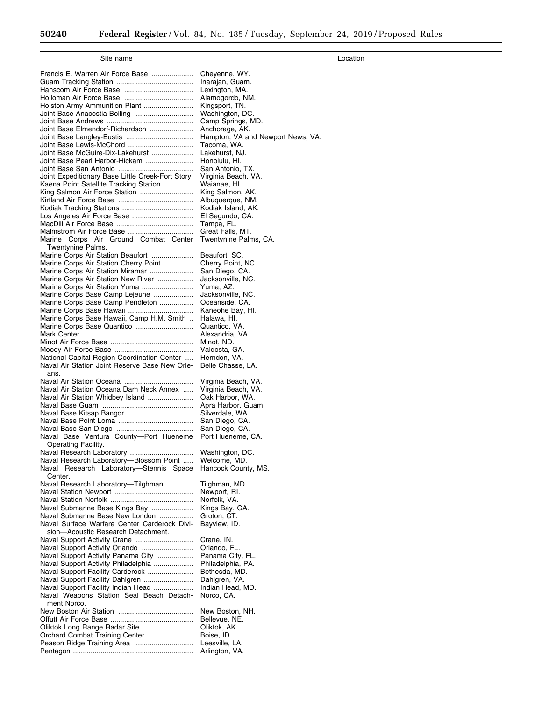$\equiv$ 

۰

| Site name                                                                          | Location                                            |
|------------------------------------------------------------------------------------|-----------------------------------------------------|
| Francis E. Warren Air Force Base                                                   | Cheyenne, WY.                                       |
|                                                                                    | Inarajan, Guam.                                     |
|                                                                                    | Lexington, MA.                                      |
|                                                                                    | Alamogordo, NM.                                     |
| Holston Army Ammunition Plant                                                      | Kingsport, TN.                                      |
| Joint Base Anacostia-Bolling                                                       | Washington, DC.                                     |
| Joint Base Elmendorf-Richardson                                                    | Camp Springs, MD.                                   |
|                                                                                    | Anchorage, AK.<br>Hampton, VA and Newport News, VA. |
| Joint Base Lewis-McChord                                                           | Tacoma, WA.                                         |
| Joint Base McGuire-Dix-Lakehurst                                                   | Lakehurst, NJ.                                      |
| Joint Base Pearl Harbor-Hickam                                                     | Honolulu, HI.                                       |
|                                                                                    | San Antonio, TX.                                    |
| Joint Expeditionary Base Little Creek-Fort Story                                   | Virginia Beach, VA.                                 |
| Kaena Point Satellite Tracking Station<br>King Salmon Air Force Station            | Waianae, HI.<br>King Salmon, AK.                    |
|                                                                                    | Albuquerque, NM.                                    |
|                                                                                    | Kodiak Island, AK.                                  |
| Los Angeles Air Force Base                                                         | El Segundo, CA.                                     |
|                                                                                    | Tampa, FL.                                          |
| Malmstrom Air Force Base                                                           | Great Falls, MT.                                    |
| Marine Corps Air Ground Combat Center<br>Twentynine Palms.                         | Twentynine Palms, CA.                               |
| Marine Corps Air Station Beaufort                                                  | Beaufort, SC.                                       |
| Marine Corps Air Station Cherry Point                                              | Cherry Point, NC.                                   |
| Marine Corps Air Station Miramar                                                   | San Diego, CA.                                      |
| Marine Corps Air Station New River                                                 | Jacksonville, NC.                                   |
| Marine Corps Air Station Yuma                                                      | Yuma, AZ.                                           |
| Marine Corps Base Camp Lejeune<br>Marine Corps Base Camp Pendleton                 | Jacksonville, NC.<br>Oceanside, CA.                 |
| Marine Corps Base Hawaii                                                           | Kaneohe Bay, Hl.                                    |
| Marine Corps Base Hawaii, Camp H.M. Smith                                          | Halawa, HI.                                         |
| Marine Corps Base Quantico                                                         | Quantico, VA.                                       |
|                                                                                    | Alexandria, VA.                                     |
|                                                                                    | Minot, ND.                                          |
| National Capital Region Coordination Center                                        | Valdosta, GA.<br>Herndon, VA.                       |
| Naval Air Station Joint Reserve Base New Orle-                                     | Belle Chasse, LA.                                   |
| ans.                                                                               |                                                     |
|                                                                                    | Virginia Beach, VA.                                 |
| Naval Air Station Oceana Dam Neck Annex                                            | Virginia Beach, VA.                                 |
| Naval Air Station Whidbey Island                                                   | Oak Harbor, WA.                                     |
| Naval Base Kitsap Bangor                                                           | Apra Harbor, Guam.<br>Silverdale, WA.               |
|                                                                                    | San Diego, CA.                                      |
|                                                                                    | San Diego, CA.                                      |
| Naval Base Ventura County—Port Hueneme                                             | Port Hueneme, CA.                                   |
| Operating Facility.                                                                |                                                     |
| Naval Research Laboratory                                                          | Washington, DC.                                     |
| Naval Research Laboratory-Blossom Point<br>Naval Research Laboratory-Stennis Space | Welcome, MD.<br>Hancock County, MS.                 |
| Center.                                                                            |                                                     |
| Naval Research Laboratory-Tilghman                                                 | Tilghman, MD.                                       |
|                                                                                    | Newport, RI.                                        |
|                                                                                    | Norfolk, VA.                                        |
| Naval Submarine Base Kings Bay                                                     | Kings Bay, GA.                                      |
| Naval Submarine Base New London<br>Naval Surface Warfare Center Carderock Divi-    | Groton, CT.<br>Bayview, ID.                         |
| sion-Acoustic Research Detachment.                                                 |                                                     |
| Naval Support Activity Crane                                                       | Crane, IN.                                          |
| Naval Support Activity Orlando                                                     | Orlando, FL.                                        |
| Naval Support Activity Panama City                                                 | Panama City, FL.                                    |
| Naval Support Activity Philadelphia<br>Naval Support Facility Carderock            | Philadelphia, PA.<br>Bethesda, MD.                  |
| Naval Support Facility Dahlgren                                                    | Dahlgren, VA.                                       |
| Naval Support Facility Indian Head                                                 | Indian Head, MD.                                    |
| Naval Weapons Station Seal Beach Detach-                                           | Norco, CA.                                          |
| ment Norco.                                                                        |                                                     |
|                                                                                    | New Boston, NH.                                     |
| Oliktok Long Range Radar Site                                                      | Bellevue, NE.                                       |
| Orchard Combat Training Center                                                     | Oliktok, AK.<br>Boise, ID.                          |
|                                                                                    | Leesville, LA.                                      |
|                                                                                    | Arlington, VA.                                      |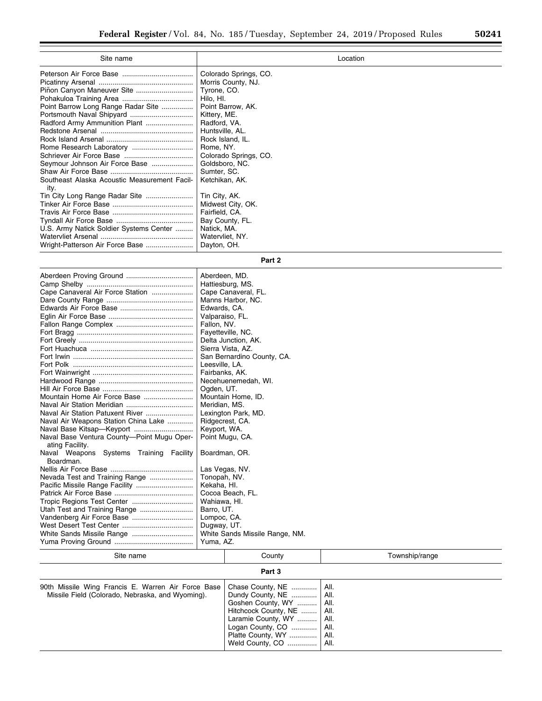| Site name                                            | Location              |
|------------------------------------------------------|-----------------------|
|                                                      | Colorado Springs, CO. |
|                                                      | Morris County, NJ.    |
|                                                      | Tyrone, CO.           |
|                                                      | Hilo, HI.             |
| Point Barrow Long Range Radar Site                   | Point Barrow, AK.     |
|                                                      | Kittery, ME.          |
|                                                      | Radford, VA.          |
|                                                      | Huntsville, AL.       |
|                                                      | Rock Island, IL.      |
|                                                      | Rome, NY.             |
|                                                      | Colorado Springs, CO. |
| Seymour Johnson Air Force Base                       | Goldsboro, NC.        |
|                                                      | Sumter, SC.           |
| Southeast Alaska Acoustic Measurement Facil-<br>ity. | Ketchikan, AK.        |
| Tin City Long Range Radar Site                       | Tin City, AK.         |
|                                                      | Midwest City, OK.     |
|                                                      | Fairfield, CA.        |
|                                                      | Bay County, FL.       |
| U.S. Army Natick Soldier Systems Center              | Natick, MA.           |
|                                                      | Watervliet, NY.       |
| Wright-Patterson Air Force Base                      | Dayton, OH.           |

**Part 2** 

| Lompoc, CA.<br>Dugway, UT.<br>White Sands Missile Range, NM.<br>Yuma, AZ. | Cape Canaveral Air Force Station<br>Mountain Home Air Force Base<br>Naval Air Station Patuxent River<br>Naval Air Weapons Station China Lake<br>Naval Base Ventura County-Point Mugu Oper-<br>ating Facility.<br>Naval Weapons Systems Training Facility<br>Boardman.<br>Nevada Test and Training Range | Aberdeen, MD.<br>Hattiesburg, MS.<br>Cape Canaveral, FL.<br>Manns Harbor, NC.<br>Edwards, CA.<br>Valparaiso, FL.<br>Fallon, NV.<br>Fayetteville, NC.<br>Delta Junction, AK.<br>Sierra Vista, AZ.<br>San Bernardino County, CA.<br>Leesville, LA.<br>Fairbanks, AK.<br>Necehuenemedah, WI.<br>Ogden, UT.<br>Mountain Home, ID.<br>Meridian, MS.<br>Lexington Park, MD.<br>Ridgecrest, CA.<br>Keyport, WA.<br>Point Mugu, CA.<br>Boardman, OR.<br>Las Vegas, NV.<br>Tonopah, NV.<br>Kekaha, HI.<br>Cocoa Beach, FL.<br>Wahiawa, HI.<br>Barro, UT. |
|---------------------------------------------------------------------------|---------------------------------------------------------------------------------------------------------------------------------------------------------------------------------------------------------------------------------------------------------------------------------------------------------|-------------------------------------------------------------------------------------------------------------------------------------------------------------------------------------------------------------------------------------------------------------------------------------------------------------------------------------------------------------------------------------------------------------------------------------------------------------------------------------------------------------------------------------------------|
|                                                                           |                                                                                                                                                                                                                                                                                                         |                                                                                                                                                                                                                                                                                                                                                                                                                                                                                                                                                 |
|                                                                           |                                                                                                                                                                                                                                                                                                         |                                                                                                                                                                                                                                                                                                                                                                                                                                                                                                                                                 |

| Site name                                                                                              | County                                                                                                                                                                                                                              | Township/range |  |
|--------------------------------------------------------------------------------------------------------|-------------------------------------------------------------------------------------------------------------------------------------------------------------------------------------------------------------------------------------|----------------|--|
| Part 3                                                                                                 |                                                                                                                                                                                                                                     |                |  |
| 90th Missile Wing Francis E. Warren Air Force Base<br>Missile Field (Colorado, Nebraska, and Wyoming). | Chase County, NE    All.<br>Dundy County, NE    All.<br>Goshen County, WY    All.<br>Hitchcock County, NE    All.<br>Laramie County, WY    All.<br>Logan County, CO    All.<br>Platte County, WY    All.<br>Weld County, CO    All. |                |  |